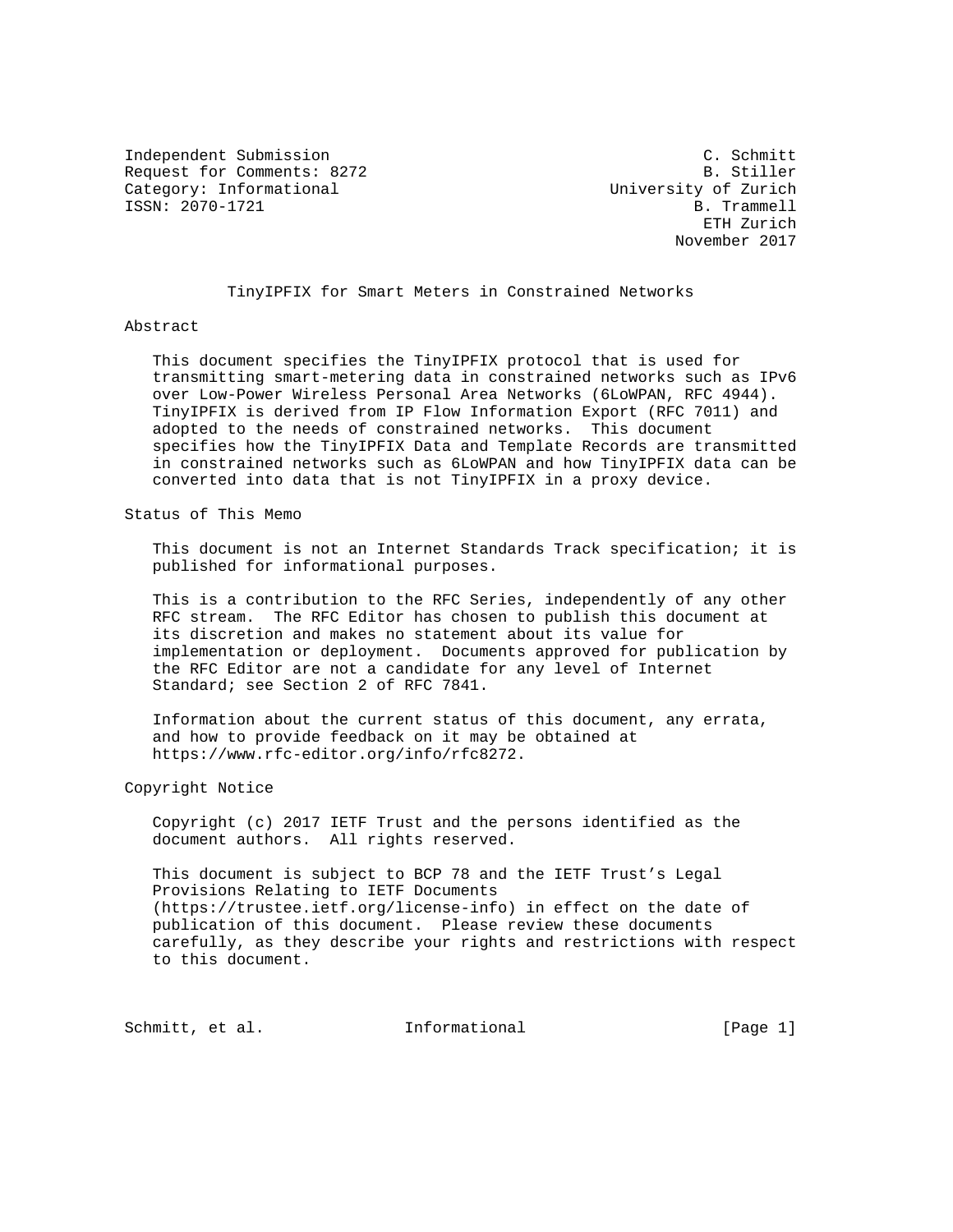Independent Submission C. Schmitt Request for Comments: 8272 B. Stiller<br>
Category: Informational and B. Stiller<br>
University of Zurich Category: Informational ISSN: 2070-1721 B. Trammell

 ETH Zurich November 2017

TinyIPFIX for Smart Meters in Constrained Networks

## Abstract

 This document specifies the TinyIPFIX protocol that is used for transmitting smart-metering data in constrained networks such as IPv6 over Low-Power Wireless Personal Area Networks (6LoWPAN, RFC 4944). TinyIPFIX is derived from IP Flow Information Export (RFC 7011) and adopted to the needs of constrained networks. This document specifies how the TinyIPFIX Data and Template Records are transmitted in constrained networks such as 6LoWPAN and how TinyIPFIX data can be converted into data that is not TinyIPFIX in a proxy device.

Status of This Memo

 This document is not an Internet Standards Track specification; it is published for informational purposes.

 This is a contribution to the RFC Series, independently of any other RFC stream. The RFC Editor has chosen to publish this document at its discretion and makes no statement about its value for implementation or deployment. Documents approved for publication by the RFC Editor are not a candidate for any level of Internet Standard; see Section 2 of RFC 7841.

 Information about the current status of this document, any errata, and how to provide feedback on it may be obtained at https://www.rfc-editor.org/info/rfc8272.

Copyright Notice

 Copyright (c) 2017 IETF Trust and the persons identified as the document authors. All rights reserved.

 This document is subject to BCP 78 and the IETF Trust's Legal Provisions Relating to IETF Documents (https://trustee.ietf.org/license-info) in effect on the date of publication of this document. Please review these documents carefully, as they describe your rights and restrictions with respect to this document.

Schmitt, et al. **Informational** [Page 1]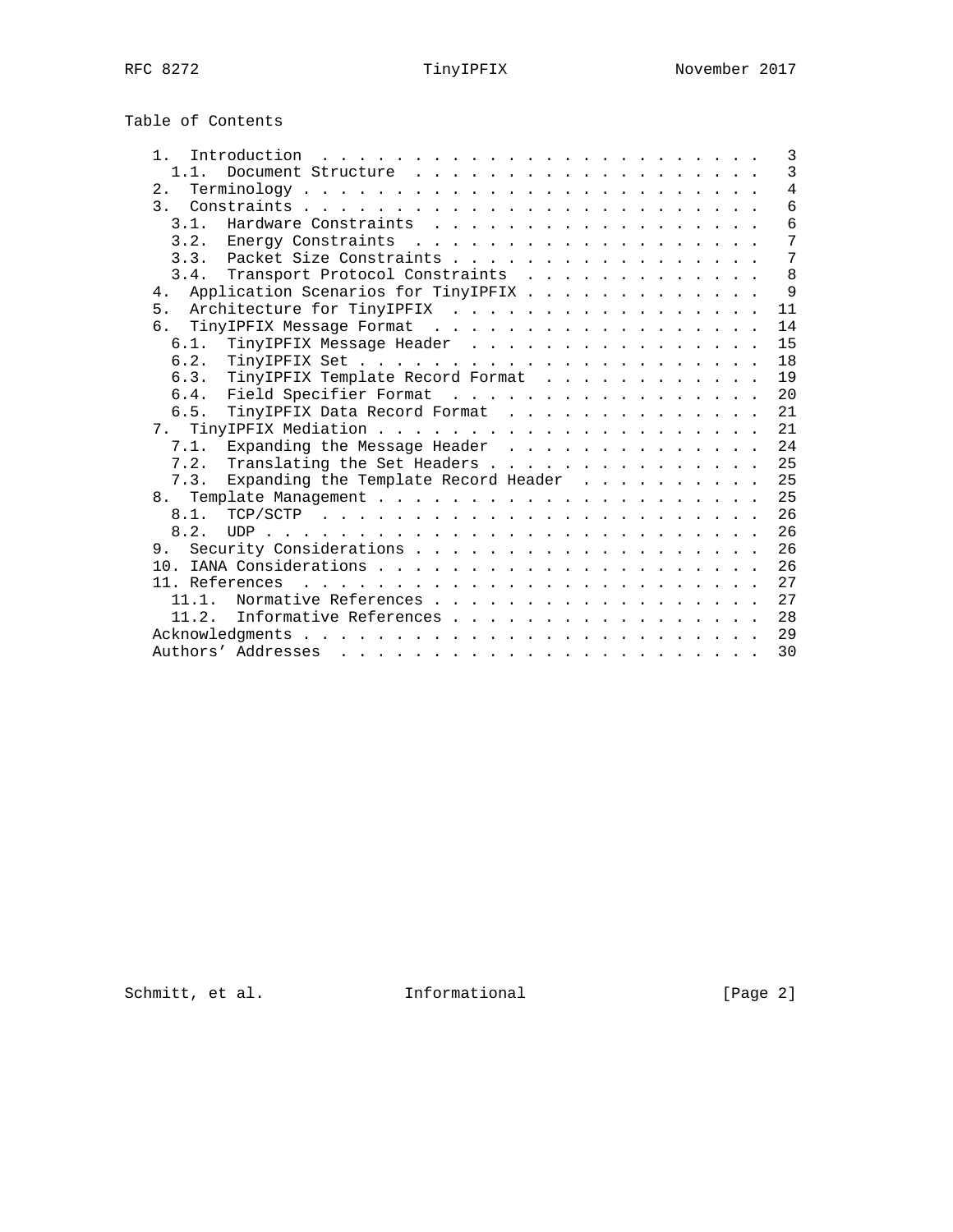Table of Contents

|  |  | 3                                                                                                                                                                                                                                                                                                                                                                                                                                                                                                                                                                                                                                       |
|--|--|-----------------------------------------------------------------------------------------------------------------------------------------------------------------------------------------------------------------------------------------------------------------------------------------------------------------------------------------------------------------------------------------------------------------------------------------------------------------------------------------------------------------------------------------------------------------------------------------------------------------------------------------|
|  |  | $\overline{3}$                                                                                                                                                                                                                                                                                                                                                                                                                                                                                                                                                                                                                          |
|  |  | $\overline{4}$                                                                                                                                                                                                                                                                                                                                                                                                                                                                                                                                                                                                                          |
|  |  | $\overline{6}$                                                                                                                                                                                                                                                                                                                                                                                                                                                                                                                                                                                                                          |
|  |  | 6                                                                                                                                                                                                                                                                                                                                                                                                                                                                                                                                                                                                                                       |
|  |  | 7                                                                                                                                                                                                                                                                                                                                                                                                                                                                                                                                                                                                                                       |
|  |  | 7                                                                                                                                                                                                                                                                                                                                                                                                                                                                                                                                                                                                                                       |
|  |  | 8                                                                                                                                                                                                                                                                                                                                                                                                                                                                                                                                                                                                                                       |
|  |  | $\mathsf{Q}$                                                                                                                                                                                                                                                                                                                                                                                                                                                                                                                                                                                                                            |
|  |  | 11                                                                                                                                                                                                                                                                                                                                                                                                                                                                                                                                                                                                                                      |
|  |  | 14                                                                                                                                                                                                                                                                                                                                                                                                                                                                                                                                                                                                                                      |
|  |  | 15                                                                                                                                                                                                                                                                                                                                                                                                                                                                                                                                                                                                                                      |
|  |  | 18                                                                                                                                                                                                                                                                                                                                                                                                                                                                                                                                                                                                                                      |
|  |  | 19                                                                                                                                                                                                                                                                                                                                                                                                                                                                                                                                                                                                                                      |
|  |  | 20                                                                                                                                                                                                                                                                                                                                                                                                                                                                                                                                                                                                                                      |
|  |  | 2.1                                                                                                                                                                                                                                                                                                                                                                                                                                                                                                                                                                                                                                     |
|  |  | 21                                                                                                                                                                                                                                                                                                                                                                                                                                                                                                                                                                                                                                      |
|  |  | 24                                                                                                                                                                                                                                                                                                                                                                                                                                                                                                                                                                                                                                      |
|  |  | 25                                                                                                                                                                                                                                                                                                                                                                                                                                                                                                                                                                                                                                      |
|  |  | 25                                                                                                                                                                                                                                                                                                                                                                                                                                                                                                                                                                                                                                      |
|  |  | 25                                                                                                                                                                                                                                                                                                                                                                                                                                                                                                                                                                                                                                      |
|  |  | 26                                                                                                                                                                                                                                                                                                                                                                                                                                                                                                                                                                                                                                      |
|  |  | 26                                                                                                                                                                                                                                                                                                                                                                                                                                                                                                                                                                                                                                      |
|  |  | 26                                                                                                                                                                                                                                                                                                                                                                                                                                                                                                                                                                                                                                      |
|  |  | 26                                                                                                                                                                                                                                                                                                                                                                                                                                                                                                                                                                                                                                      |
|  |  | 27                                                                                                                                                                                                                                                                                                                                                                                                                                                                                                                                                                                                                                      |
|  |  | 27                                                                                                                                                                                                                                                                                                                                                                                                                                                                                                                                                                                                                                      |
|  |  | 28                                                                                                                                                                                                                                                                                                                                                                                                                                                                                                                                                                                                                                      |
|  |  | 29                                                                                                                                                                                                                                                                                                                                                                                                                                                                                                                                                                                                                                      |
|  |  | 30                                                                                                                                                                                                                                                                                                                                                                                                                                                                                                                                                                                                                                      |
|  |  | Introduction $\ldots \ldots \ldots \ldots \ldots \ldots \ldots \ldots$<br>$Terminology \ldots \ldots \ldots \ldots \ldots \ldots \ldots \ldots \ldots$<br>Hardware Constraints<br>Packet Size Constraints<br>Transport Protocol Constraints<br>Application Scenarios for TinyIPFIX<br>5. Architecture for TinyIPFIX<br>TinyIPFIX Message Format<br>TinyIPFIX Message Header<br>TinyIPFIX Template Record Format<br>Field Specifier Format<br>TinyIPFIX Data Record Format<br>7.1. Expanding the Message Header<br>Translating the Set Headers<br>Expanding the Template Record Header<br>Normative References<br>Informative References |

Schmitt, et al. **Informational** [Page 2]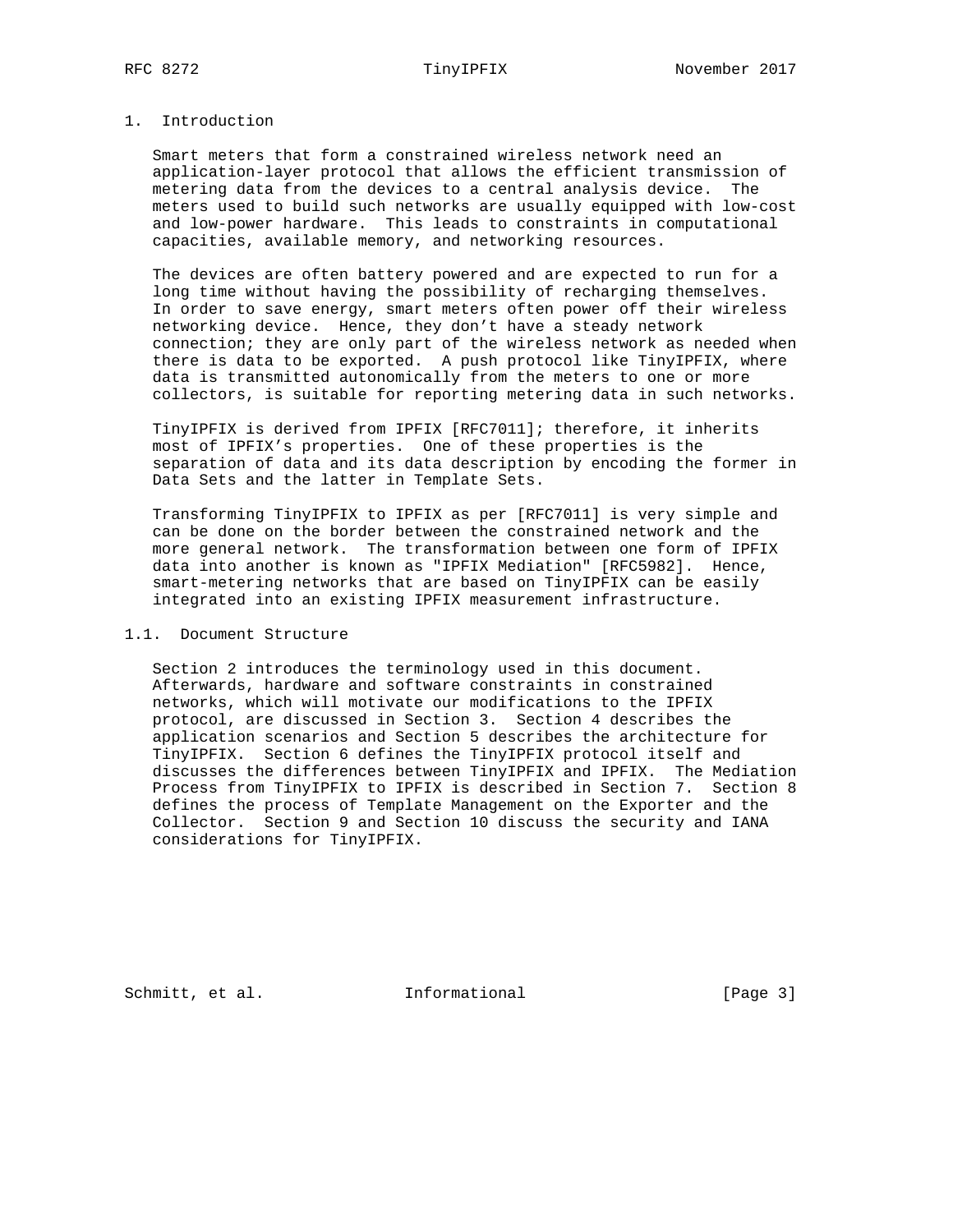# 1. Introduction

 Smart meters that form a constrained wireless network need an application-layer protocol that allows the efficient transmission of metering data from the devices to a central analysis device. The meters used to build such networks are usually equipped with low-cost and low-power hardware. This leads to constraints in computational capacities, available memory, and networking resources.

 The devices are often battery powered and are expected to run for a long time without having the possibility of recharging themselves. In order to save energy, smart meters often power off their wireless networking device. Hence, they don't have a steady network connection; they are only part of the wireless network as needed when there is data to be exported. A push protocol like TinyIPFIX, where data is transmitted autonomically from the meters to one or more collectors, is suitable for reporting metering data in such networks.

 TinyIPFIX is derived from IPFIX [RFC7011]; therefore, it inherits most of IPFIX's properties. One of these properties is the separation of data and its data description by encoding the former in Data Sets and the latter in Template Sets.

 Transforming TinyIPFIX to IPFIX as per [RFC7011] is very simple and can be done on the border between the constrained network and the more general network. The transformation between one form of IPFIX data into another is known as "IPFIX Mediation" [RFC5982]. Hence, smart-metering networks that are based on TinyIPFIX can be easily integrated into an existing IPFIX measurement infrastructure.

## 1.1. Document Structure

 Section 2 introduces the terminology used in this document. Afterwards, hardware and software constraints in constrained networks, which will motivate our modifications to the IPFIX protocol, are discussed in Section 3. Section 4 describes the application scenarios and Section 5 describes the architecture for TinyIPFIX. Section 6 defines the TinyIPFIX protocol itself and discusses the differences between TinyIPFIX and IPFIX. The Mediation Process from TinyIPFIX to IPFIX is described in Section 7. Section 8 defines the process of Template Management on the Exporter and the Collector. Section 9 and Section 10 discuss the security and IANA considerations for TinyIPFIX.

Schmitt, et al. **Informational** [Page 3]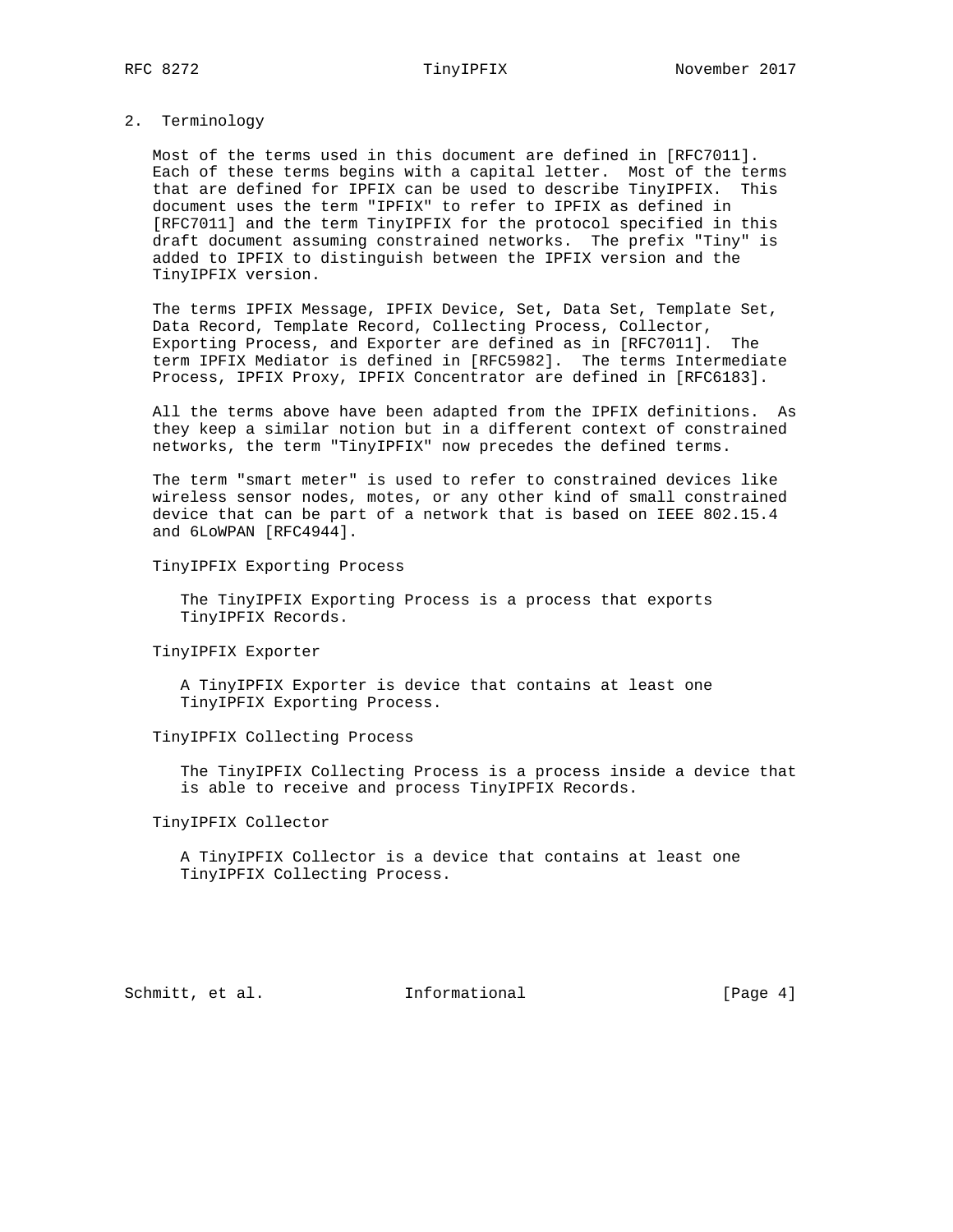### 2. Terminology

 Most of the terms used in this document are defined in [RFC7011]. Each of these terms begins with a capital letter. Most of the terms that are defined for IPFIX can be used to describe TinyIPFIX. This document uses the term "IPFIX" to refer to IPFIX as defined in [RFC7011] and the term TinyIPFIX for the protocol specified in this draft document assuming constrained networks. The prefix "Tiny" is added to IPFIX to distinguish between the IPFIX version and the TinyIPFIX version.

 The terms IPFIX Message, IPFIX Device, Set, Data Set, Template Set, Data Record, Template Record, Collecting Process, Collector, Exporting Process, and Exporter are defined as in [RFC7011]. The term IPFIX Mediator is defined in [RFC5982]. The terms Intermediate Process, IPFIX Proxy, IPFIX Concentrator are defined in [RFC6183].

 All the terms above have been adapted from the IPFIX definitions. As they keep a similar notion but in a different context of constrained networks, the term "TinyIPFIX" now precedes the defined terms.

 The term "smart meter" is used to refer to constrained devices like wireless sensor nodes, motes, or any other kind of small constrained device that can be part of a network that is based on IEEE 802.15.4 and 6LoWPAN [RFC4944].

TinyIPFIX Exporting Process

 The TinyIPFIX Exporting Process is a process that exports TinyIPFIX Records.

TinyIPFIX Exporter

 A TinyIPFIX Exporter is device that contains at least one TinyIPFIX Exporting Process.

## TinyIPFIX Collecting Process

 The TinyIPFIX Collecting Process is a process inside a device that is able to receive and process TinyIPFIX Records.

## TinyIPFIX Collector

 A TinyIPFIX Collector is a device that contains at least one TinyIPFIX Collecting Process.

Schmitt, et al. **Informational** [Page 4]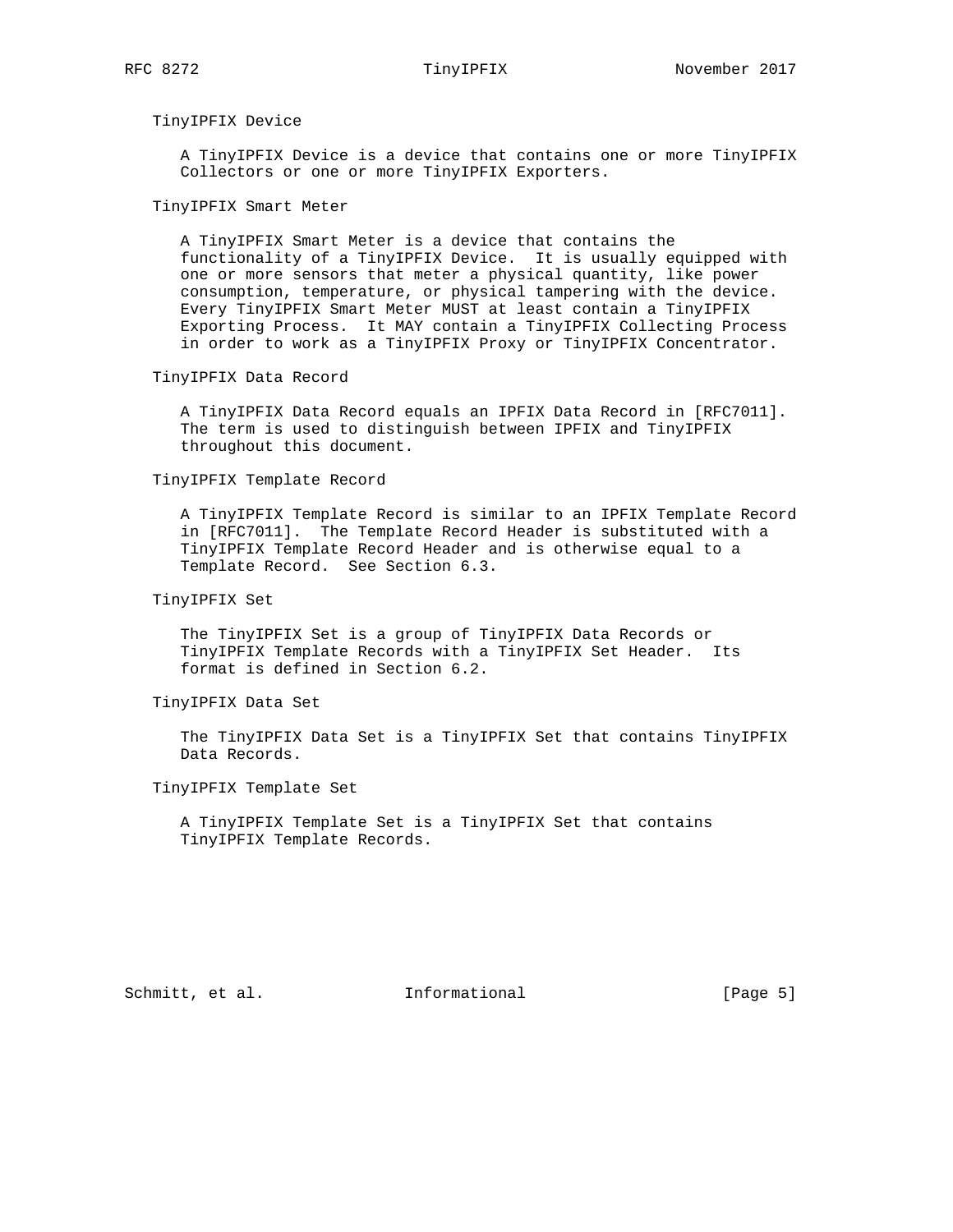### TinyIPFIX Device

 A TinyIPFIX Device is a device that contains one or more TinyIPFIX Collectors or one or more TinyIPFIX Exporters.

### TinyIPFIX Smart Meter

 A TinyIPFIX Smart Meter is a device that contains the functionality of a TinyIPFIX Device. It is usually equipped with one or more sensors that meter a physical quantity, like power consumption, temperature, or physical tampering with the device. Every TinyIPFIX Smart Meter MUST at least contain a TinyIPFIX Exporting Process. It MAY contain a TinyIPFIX Collecting Process in order to work as a TinyIPFIX Proxy or TinyIPFIX Concentrator.

### TinyIPFIX Data Record

 A TinyIPFIX Data Record equals an IPFIX Data Record in [RFC7011]. The term is used to distinguish between IPFIX and TinyIPFIX throughout this document.

## TinyIPFIX Template Record

 A TinyIPFIX Template Record is similar to an IPFIX Template Record in [RFC7011]. The Template Record Header is substituted with a TinyIPFIX Template Record Header and is otherwise equal to a Template Record. See Section 6.3.

## TinyIPFIX Set

 The TinyIPFIX Set is a group of TinyIPFIX Data Records or TinyIPFIX Template Records with a TinyIPFIX Set Header. Its format is defined in Section 6.2.

## TinyIPFIX Data Set

 The TinyIPFIX Data Set is a TinyIPFIX Set that contains TinyIPFIX Data Records.

## TinyIPFIX Template Set

 A TinyIPFIX Template Set is a TinyIPFIX Set that contains TinyIPFIX Template Records.

Schmitt, et al. **Informational** [Page 5]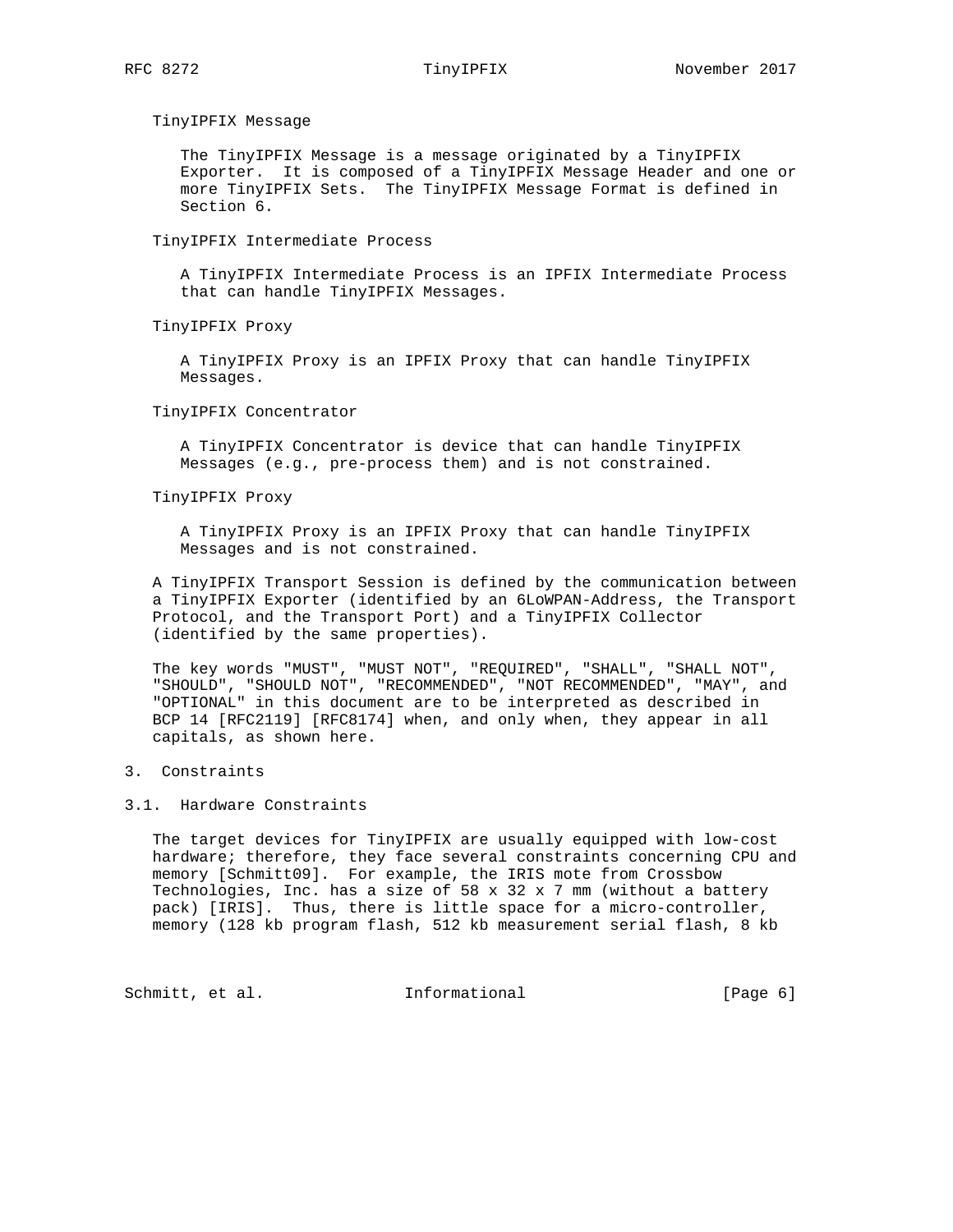TinyIPFIX Message

 The TinyIPFIX Message is a message originated by a TinyIPFIX Exporter. It is composed of a TinyIPFIX Message Header and one or more TinyIPFIX Sets. The TinyIPFIX Message Format is defined in Section 6.

TinyIPFIX Intermediate Process

 A TinyIPFIX Intermediate Process is an IPFIX Intermediate Process that can handle TinyIPFIX Messages.

TinyIPFIX Proxy

 A TinyIPFIX Proxy is an IPFIX Proxy that can handle TinyIPFIX Messages.

TinyIPFIX Concentrator

 A TinyIPFIX Concentrator is device that can handle TinyIPFIX Messages (e.g., pre-process them) and is not constrained.

TinyIPFIX Proxy

 A TinyIPFIX Proxy is an IPFIX Proxy that can handle TinyIPFIX Messages and is not constrained.

 A TinyIPFIX Transport Session is defined by the communication between a TinyIPFIX Exporter (identified by an 6LoWPAN-Address, the Transport Protocol, and the Transport Port) and a TinyIPFIX Collector (identified by the same properties).

 The key words "MUST", "MUST NOT", "REQUIRED", "SHALL", "SHALL NOT", "SHOULD", "SHOULD NOT", "RECOMMENDED", "NOT RECOMMENDED", "MAY", and "OPTIONAL" in this document are to be interpreted as described in BCP 14 [RFC2119] [RFC8174] when, and only when, they appear in all capitals, as shown here.

# 3. Constraints

## 3.1. Hardware Constraints

 The target devices for TinyIPFIX are usually equipped with low-cost hardware; therefore, they face several constraints concerning CPU and memory [Schmitt09]. For example, the IRIS mote from Crossbow Technologies, Inc. has a size of  $58 \times 32 \times 7$  mm (without a battery pack) [IRIS]. Thus, there is little space for a micro-controller, memory (128 kb program flash, 512 kb measurement serial flash, 8 kb

Schmitt, et al. **Informational** [Page 6]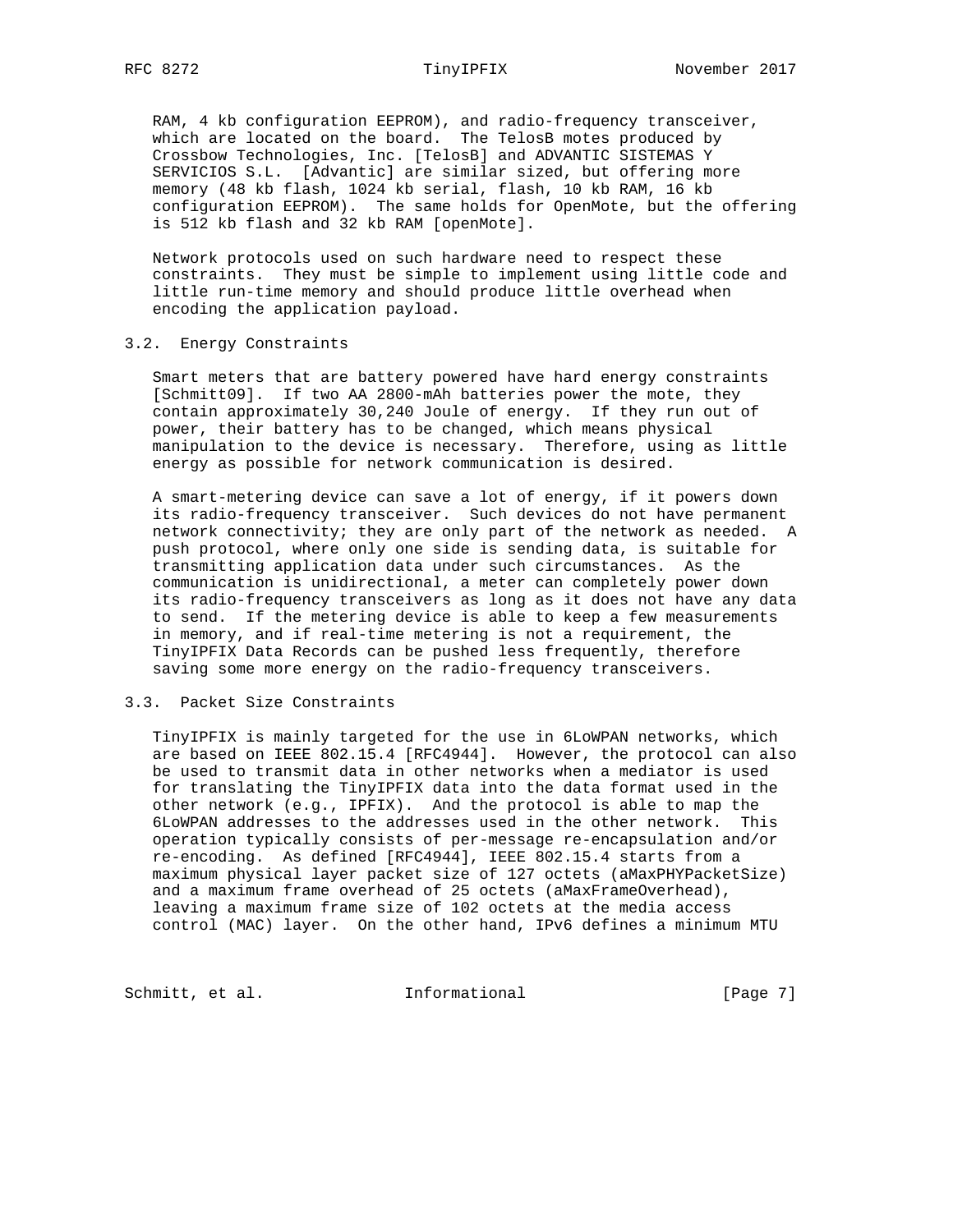RAM, 4 kb configuration EEPROM), and radio-frequency transceiver, which are located on the board. The TelosB motes produced by Crossbow Technologies, Inc. [TelosB] and ADVANTIC SISTEMAS Y SERVICIOS S.L. [Advantic] are similar sized, but offering more memory (48 kb flash, 1024 kb serial, flash, 10 kb RAM, 16 kb configuration EEPROM). The same holds for OpenMote, but the offering is 512 kb flash and 32 kb RAM [openMote].

 Network protocols used on such hardware need to respect these constraints. They must be simple to implement using little code and little run-time memory and should produce little overhead when encoding the application payload.

### 3.2. Energy Constraints

 Smart meters that are battery powered have hard energy constraints [Schmitt09]. If two AA 2800-mAh batteries power the mote, they contain approximately 30,240 Joule of energy. If they run out of power, their battery has to be changed, which means physical manipulation to the device is necessary. Therefore, using as little energy as possible for network communication is desired.

 A smart-metering device can save a lot of energy, if it powers down its radio-frequency transceiver. Such devices do not have permanent network connectivity; they are only part of the network as needed. A push protocol, where only one side is sending data, is suitable for transmitting application data under such circumstances. As the communication is unidirectional, a meter can completely power down its radio-frequency transceivers as long as it does not have any data to send. If the metering device is able to keep a few measurements in memory, and if real-time metering is not a requirement, the TinyIPFIX Data Records can be pushed less frequently, therefore saving some more energy on the radio-frequency transceivers.

## 3.3. Packet Size Constraints

 TinyIPFIX is mainly targeted for the use in 6LoWPAN networks, which are based on IEEE 802.15.4 [RFC4944]. However, the protocol can also be used to transmit data in other networks when a mediator is used for translating the TinyIPFIX data into the data format used in the other network (e.g., IPFIX). And the protocol is able to map the 6LoWPAN addresses to the addresses used in the other network. This operation typically consists of per-message re-encapsulation and/or re-encoding. As defined [RFC4944], IEEE 802.15.4 starts from a maximum physical layer packet size of 127 octets (aMaxPHYPacketSize) and a maximum frame overhead of 25 octets (aMaxFrameOverhead), leaving a maximum frame size of 102 octets at the media access control (MAC) layer. On the other hand, IPv6 defines a minimum MTU

Schmitt, et al. **Informational** [Page 7]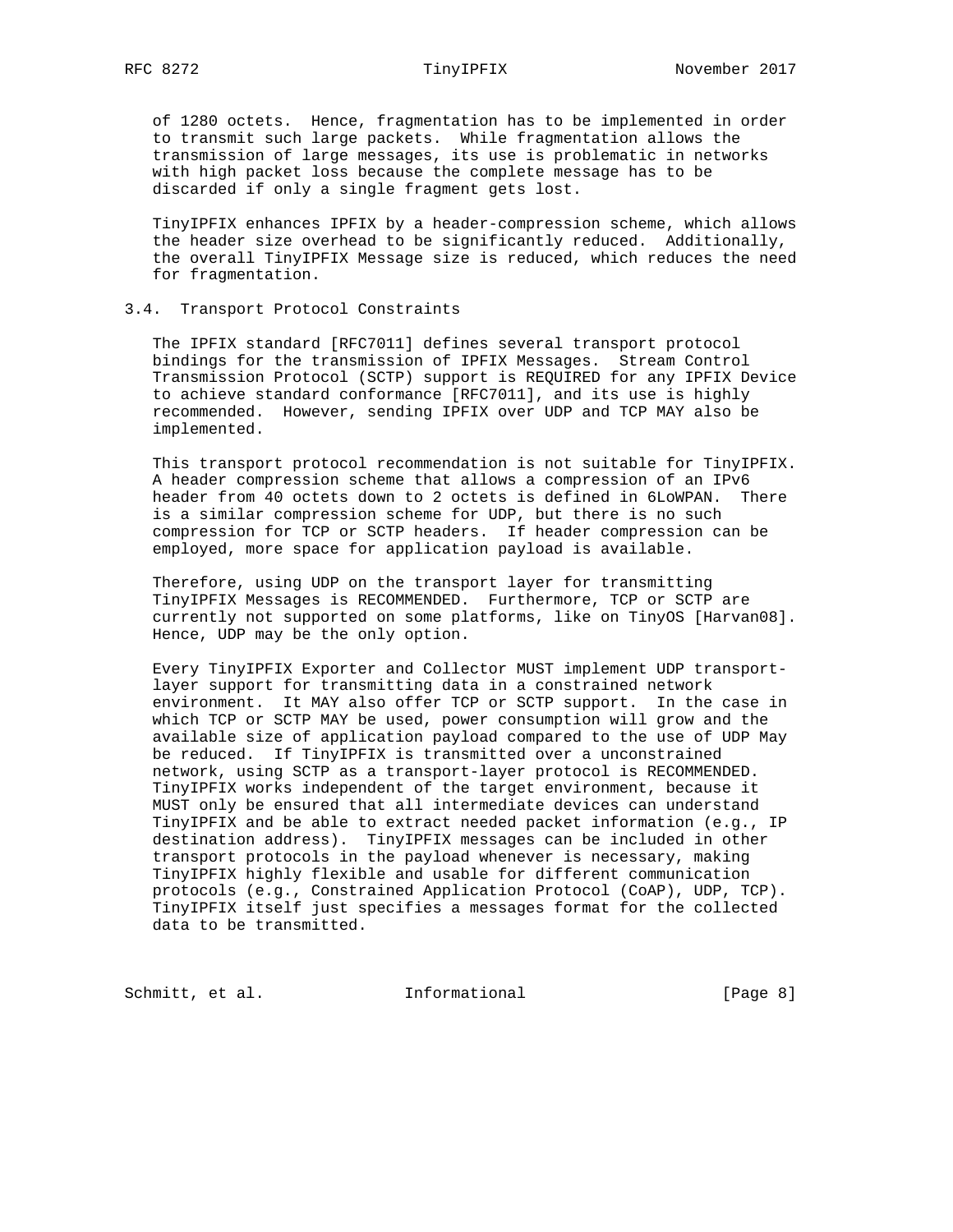of 1280 octets. Hence, fragmentation has to be implemented in order to transmit such large packets. While fragmentation allows the transmission of large messages, its use is problematic in networks with high packet loss because the complete message has to be discarded if only a single fragment gets lost.

 TinyIPFIX enhances IPFIX by a header-compression scheme, which allows the header size overhead to be significantly reduced. Additionally, the overall TinyIPFIX Message size is reduced, which reduces the need for fragmentation.

## 3.4. Transport Protocol Constraints

 The IPFIX standard [RFC7011] defines several transport protocol bindings for the transmission of IPFIX Messages. Stream Control Transmission Protocol (SCTP) support is REQUIRED for any IPFIX Device to achieve standard conformance [RFC7011], and its use is highly recommended. However, sending IPFIX over UDP and TCP MAY also be implemented.

 This transport protocol recommendation is not suitable for TinyIPFIX. A header compression scheme that allows a compression of an IPv6 header from 40 octets down to 2 octets is defined in 6LoWPAN. There is a similar compression scheme for UDP, but there is no such compression for TCP or SCTP headers. If header compression can be employed, more space for application payload is available.

 Therefore, using UDP on the transport layer for transmitting TinyIPFIX Messages is RECOMMENDED. Furthermore, TCP or SCTP are currently not supported on some platforms, like on TinyOS [Harvan08]. Hence, UDP may be the only option.

 Every TinyIPFIX Exporter and Collector MUST implement UDP transport layer support for transmitting data in a constrained network environment. It MAY also offer TCP or SCTP support. In the case in which TCP or SCTP MAY be used, power consumption will grow and the available size of application payload compared to the use of UDP May be reduced. If TinyIPFIX is transmitted over a unconstrained network, using SCTP as a transport-layer protocol is RECOMMENDED. TinyIPFIX works independent of the target environment, because it MUST only be ensured that all intermediate devices can understand TinyIPFIX and be able to extract needed packet information (e.g., IP destination address). TinyIPFIX messages can be included in other transport protocols in the payload whenever is necessary, making TinyIPFIX highly flexible and usable for different communication protocols (e.g., Constrained Application Protocol (CoAP), UDP, TCP). TinyIPFIX itself just specifies a messages format for the collected data to be transmitted.

Schmitt, et al. **Informational** [Page 8]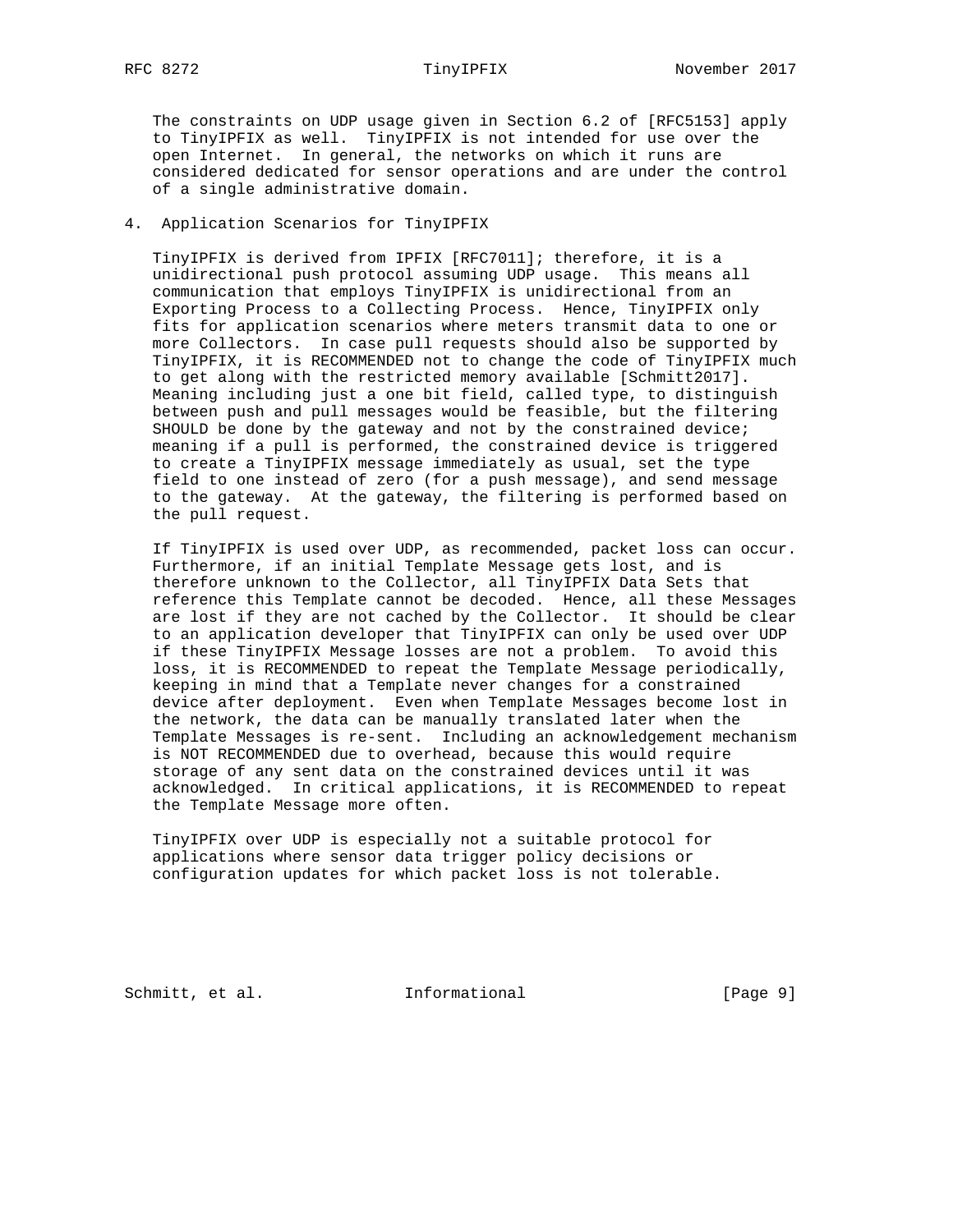The constraints on UDP usage given in Section 6.2 of [RFC5153] apply to TinyIPFIX as well. TinyIPFIX is not intended for use over the open Internet. In general, the networks on which it runs are considered dedicated for sensor operations and are under the control of a single administrative domain.

## 4. Application Scenarios for TinyIPFIX

 TinyIPFIX is derived from IPFIX [RFC7011]; therefore, it is a unidirectional push protocol assuming UDP usage. This means all communication that employs TinyIPFIX is unidirectional from an Exporting Process to a Collecting Process. Hence, TinyIPFIX only fits for application scenarios where meters transmit data to one or more Collectors. In case pull requests should also be supported by TinyIPFIX, it is RECOMMENDED not to change the code of TinyIPFIX much to get along with the restricted memory available [Schmitt2017]. Meaning including just a one bit field, called type, to distinguish between push and pull messages would be feasible, but the filtering SHOULD be done by the gateway and not by the constrained device; meaning if a pull is performed, the constrained device is triggered to create a TinyIPFIX message immediately as usual, set the type field to one instead of zero (for a push message), and send message to the gateway. At the gateway, the filtering is performed based on the pull request.

 If TinyIPFIX is used over UDP, as recommended, packet loss can occur. Furthermore, if an initial Template Message gets lost, and is therefore unknown to the Collector, all TinyIPFIX Data Sets that reference this Template cannot be decoded. Hence, all these Messages are lost if they are not cached by the Collector. It should be clear to an application developer that TinyIPFIX can only be used over UDP if these TinyIPFIX Message losses are not a problem. To avoid this loss, it is RECOMMENDED to repeat the Template Message periodically, keeping in mind that a Template never changes for a constrained device after deployment. Even when Template Messages become lost in the network, the data can be manually translated later when the Template Messages is re-sent. Including an acknowledgement mechanism is NOT RECOMMENDED due to overhead, because this would require storage of any sent data on the constrained devices until it was acknowledged. In critical applications, it is RECOMMENDED to repeat the Template Message more often.

 TinyIPFIX over UDP is especially not a suitable protocol for applications where sensor data trigger policy decisions or configuration updates for which packet loss is not tolerable.

Schmitt, et al. **Informational** [Page 9]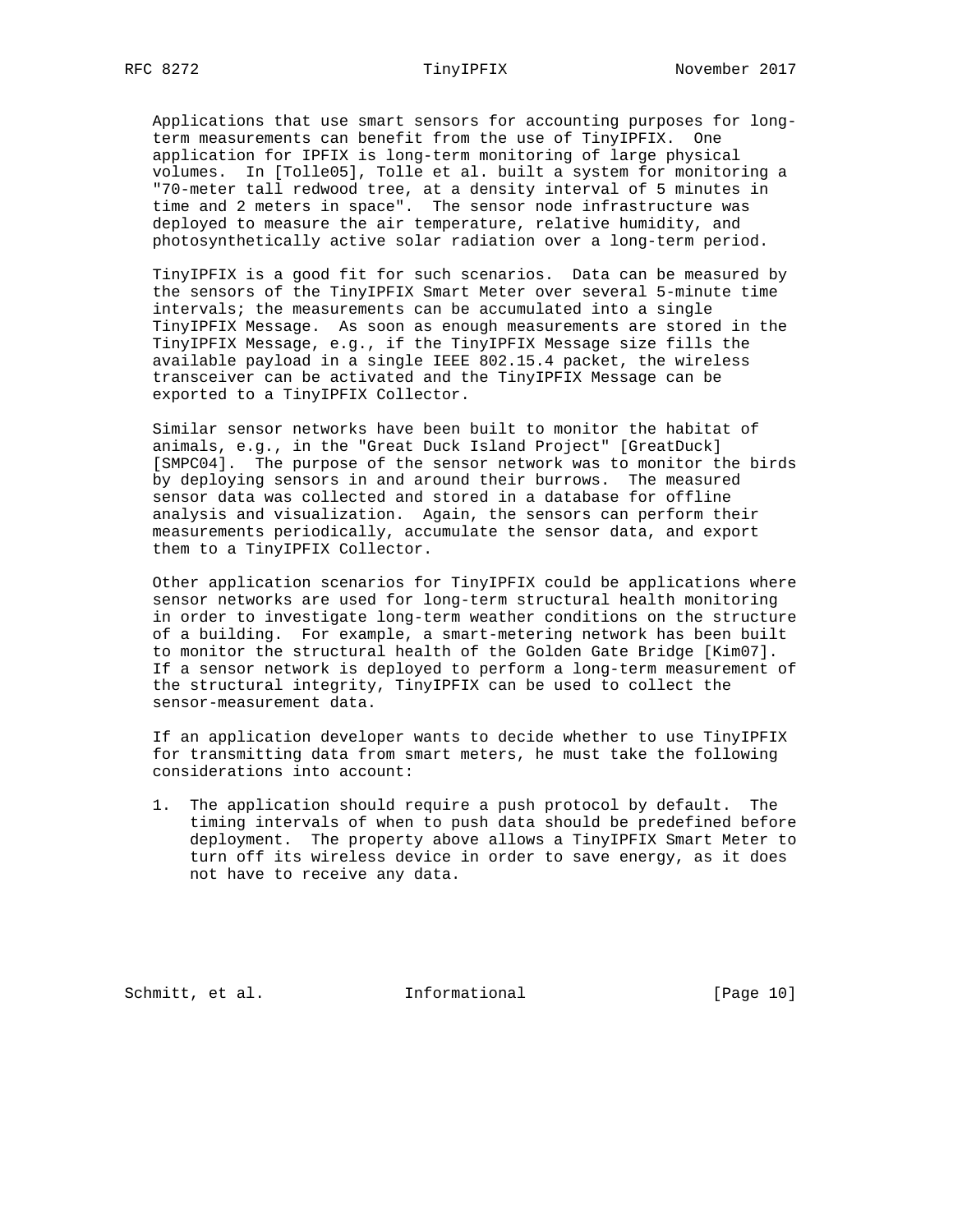Applications that use smart sensors for accounting purposes for long term measurements can benefit from the use of TinyIPFIX. One application for IPFIX is long-term monitoring of large physical volumes. In [Tolle05], Tolle et al. built a system for monitoring a "70-meter tall redwood tree, at a density interval of 5 minutes in time and 2 meters in space". The sensor node infrastructure was deployed to measure the air temperature, relative humidity, and photosynthetically active solar radiation over a long-term period.

 TinyIPFIX is a good fit for such scenarios. Data can be measured by the sensors of the TinyIPFIX Smart Meter over several 5-minute time intervals; the measurements can be accumulated into a single TinyIPFIX Message. As soon as enough measurements are stored in the TinyIPFIX Message, e.g., if the TinyIPFIX Message size fills the available payload in a single IEEE 802.15.4 packet, the wireless transceiver can be activated and the TinyIPFIX Message can be exported to a TinyIPFIX Collector.

 Similar sensor networks have been built to monitor the habitat of animals, e.g., in the "Great Duck Island Project" [GreatDuck] [SMPC04]. The purpose of the sensor network was to monitor the birds by deploying sensors in and around their burrows. The measured sensor data was collected and stored in a database for offline analysis and visualization. Again, the sensors can perform their measurements periodically, accumulate the sensor data, and export them to a TinyIPFIX Collector.

 Other application scenarios for TinyIPFIX could be applications where sensor networks are used for long-term structural health monitoring in order to investigate long-term weather conditions on the structure of a building. For example, a smart-metering network has been built to monitor the structural health of the Golden Gate Bridge [Kim07]. If a sensor network is deployed to perform a long-term measurement of the structural integrity, TinyIPFIX can be used to collect the sensor-measurement data.

 If an application developer wants to decide whether to use TinyIPFIX for transmitting data from smart meters, he must take the following considerations into account:

 1. The application should require a push protocol by default. The timing intervals of when to push data should be predefined before deployment. The property above allows a TinyIPFIX Smart Meter to turn off its wireless device in order to save energy, as it does not have to receive any data.

Schmitt, et al. [Page 10]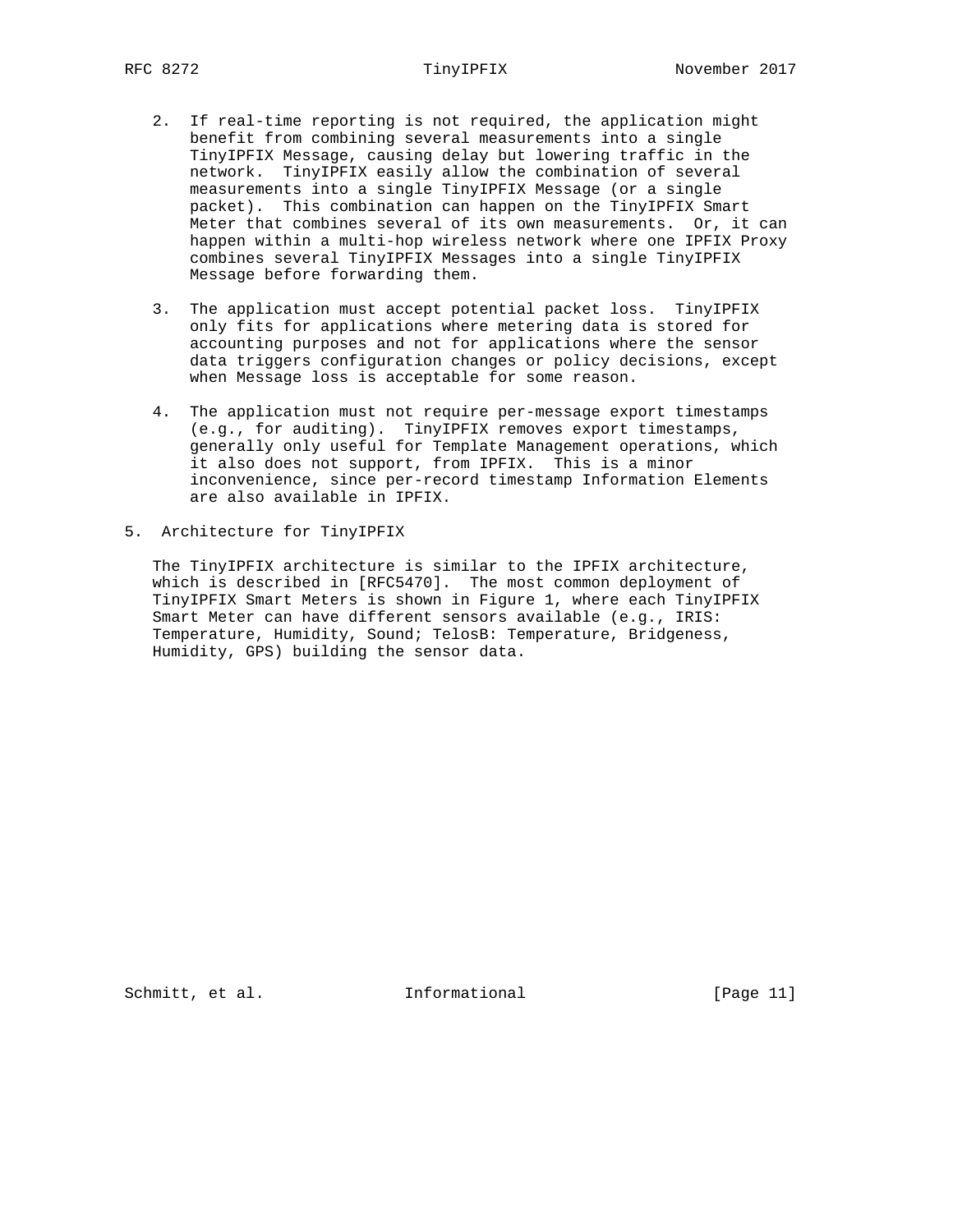- 2. If real-time reporting is not required, the application might benefit from combining several measurements into a single TinyIPFIX Message, causing delay but lowering traffic in the network. TinyIPFIX easily allow the combination of several measurements into a single TinyIPFIX Message (or a single packet). This combination can happen on the TinyIPFIX Smart Meter that combines several of its own measurements. Or, it can happen within a multi-hop wireless network where one IPFIX Proxy combines several TinyIPFIX Messages into a single TinyIPFIX Message before forwarding them.
- 3. The application must accept potential packet loss. TinyIPFIX only fits for applications where metering data is stored for accounting purposes and not for applications where the sensor data triggers configuration changes or policy decisions, except when Message loss is acceptable for some reason.
- 4. The application must not require per-message export timestamps (e.g., for auditing). TinyIPFIX removes export timestamps, generally only useful for Template Management operations, which it also does not support, from IPFIX. This is a minor inconvenience, since per-record timestamp Information Elements are also available in IPFIX.
- 5. Architecture for TinyIPFIX

 The TinyIPFIX architecture is similar to the IPFIX architecture, which is described in [RFC5470]. The most common deployment of TinyIPFIX Smart Meters is shown in Figure 1, where each TinyIPFIX Smart Meter can have different sensors available (e.g., IRIS: Temperature, Humidity, Sound; TelosB: Temperature, Bridgeness, Humidity, GPS) building the sensor data.

Schmitt, et al. [Page 11]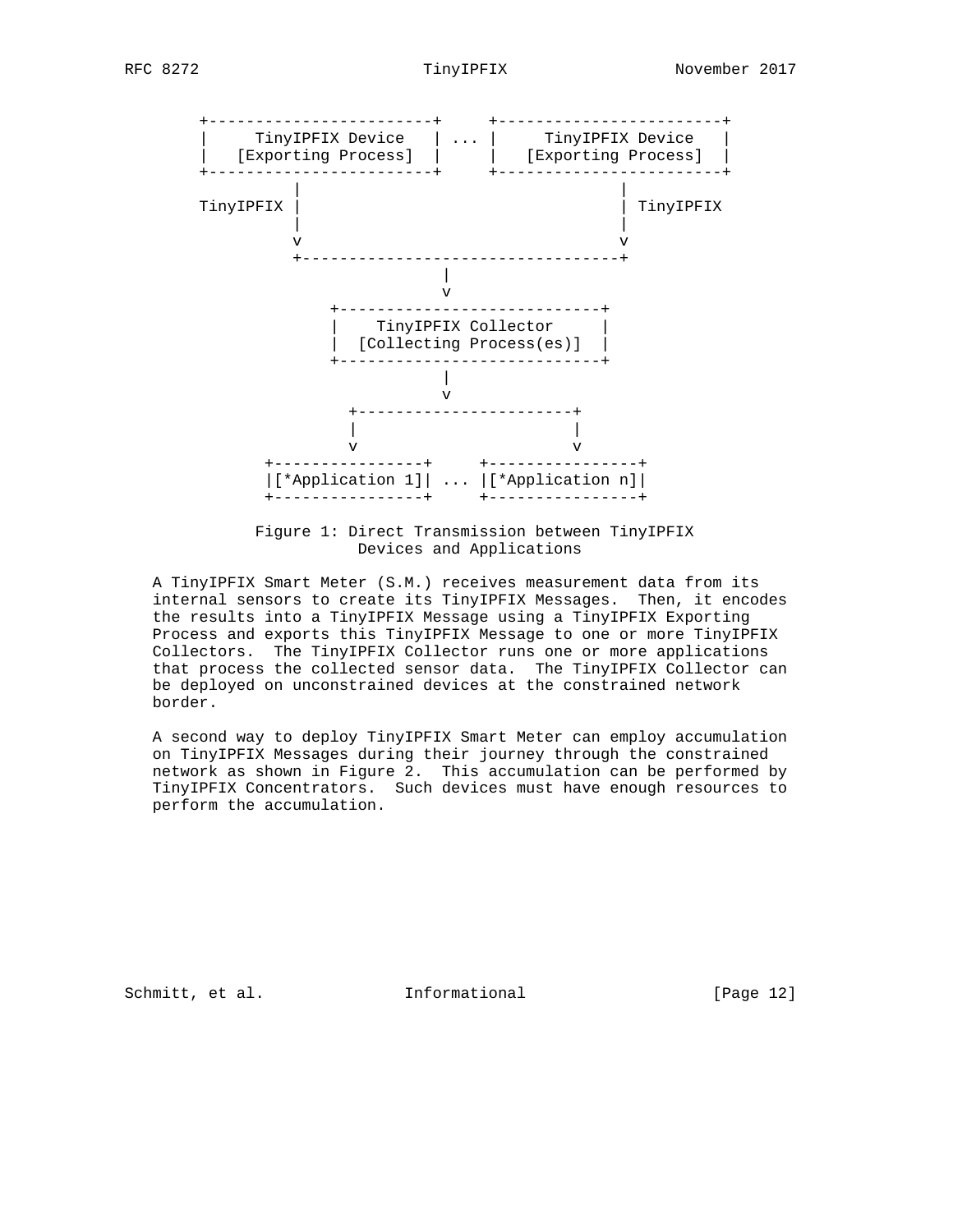

 Figure 1: Direct Transmission between TinyIPFIX Devices and Applications

 A TinyIPFIX Smart Meter (S.M.) receives measurement data from its internal sensors to create its TinyIPFIX Messages. Then, it encodes the results into a TinyIPFIX Message using a TinyIPFIX Exporting Process and exports this TinyIPFIX Message to one or more TinyIPFIX Collectors. The TinyIPFIX Collector runs one or more applications that process the collected sensor data. The TinyIPFIX Collector can be deployed on unconstrained devices at the constrained network border.

 A second way to deploy TinyIPFIX Smart Meter can employ accumulation on TinyIPFIX Messages during their journey through the constrained network as shown in Figure 2. This accumulation can be performed by TinyIPFIX Concentrators. Such devices must have enough resources to perform the accumulation.

Schmitt, et al. [Page 12]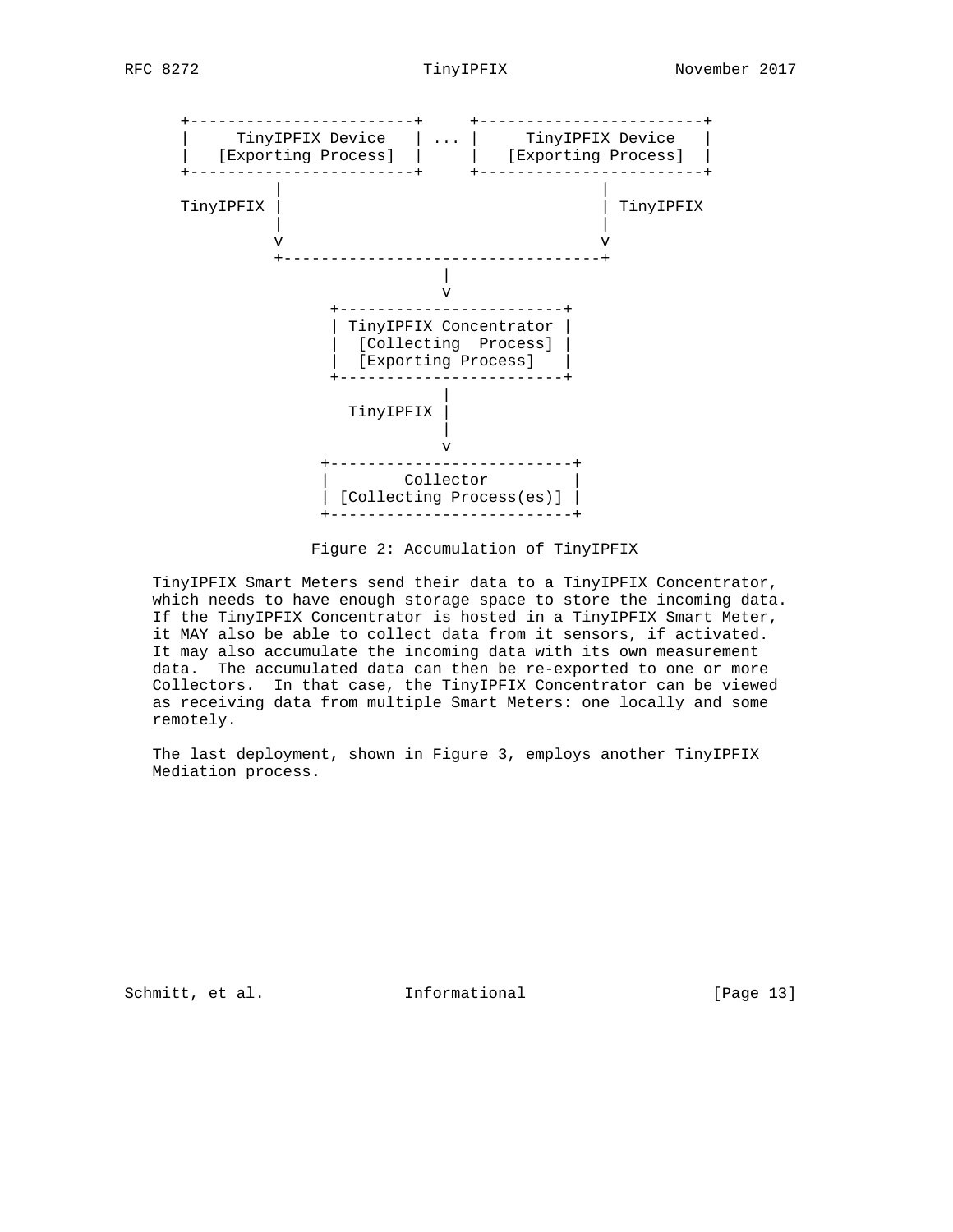

Figure 2: Accumulation of TinyIPFIX

 TinyIPFIX Smart Meters send their data to a TinyIPFIX Concentrator, which needs to have enough storage space to store the incoming data. If the TinyIPFIX Concentrator is hosted in a TinyIPFIX Smart Meter, it MAY also be able to collect data from it sensors, if activated. It may also accumulate the incoming data with its own measurement data. The accumulated data can then be re-exported to one or more Collectors. In that case, the TinyIPFIX Concentrator can be viewed as receiving data from multiple Smart Meters: one locally and some remotely.

 The last deployment, shown in Figure 3, employs another TinyIPFIX Mediation process.

Schmitt, et al. **Informational** [Page 13]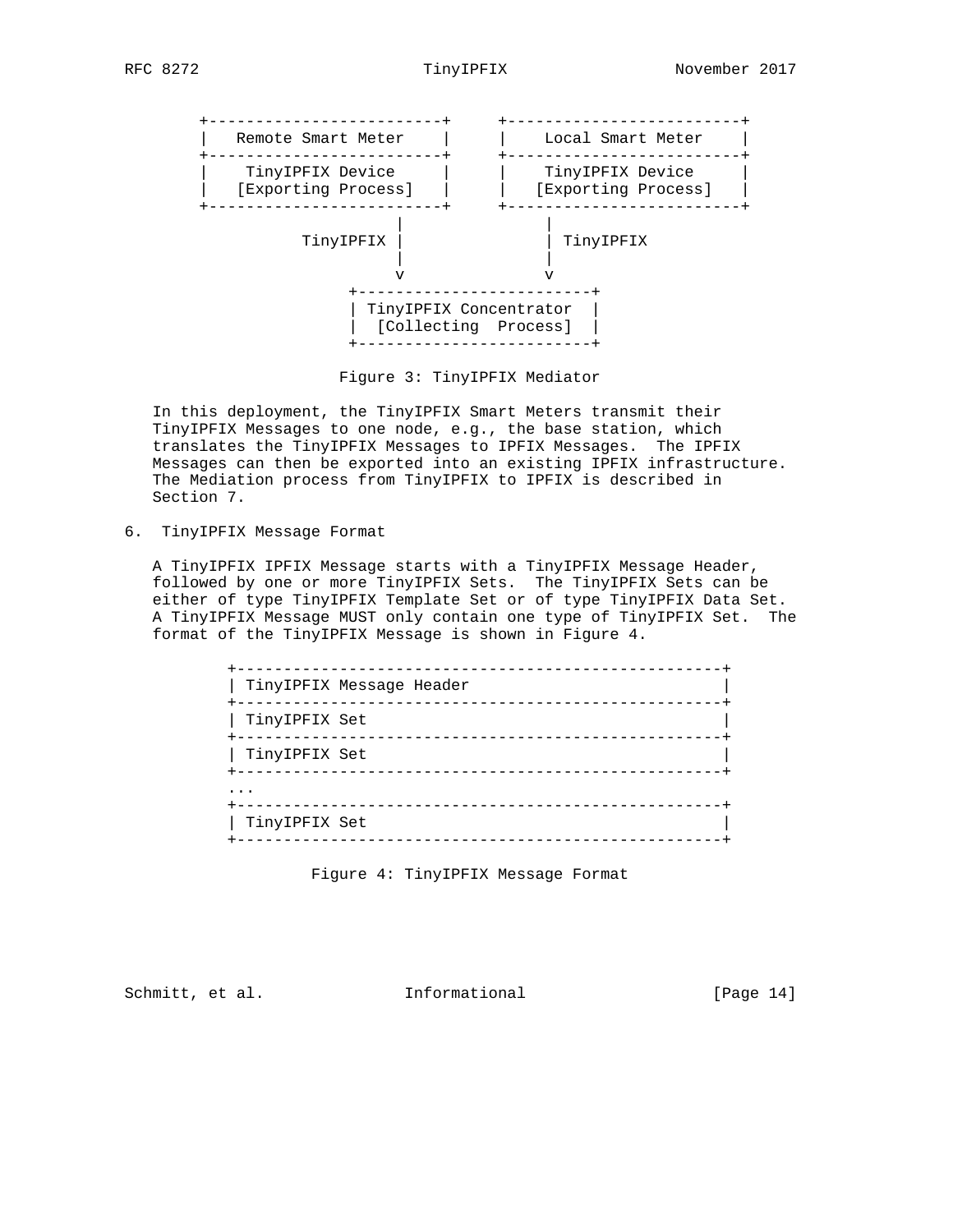

Figure 3: TinyIPFIX Mediator

 In this deployment, the TinyIPFIX Smart Meters transmit their TinyIPFIX Messages to one node, e.g., the base station, which translates the TinyIPFIX Messages to IPFIX Messages. The IPFIX Messages can then be exported into an existing IPFIX infrastructure. The Mediation process from TinyIPFIX to IPFIX is described in Section 7.

6. TinyIPFIX Message Format

 A TinyIPFIX IPFIX Message starts with a TinyIPFIX Message Header, followed by one or more TinyIPFIX Sets. The TinyIPFIX Sets can be either of type TinyIPFIX Template Set or of type TinyIPFIX Data Set. A TinyIPFIX Message MUST only contain one type of TinyIPFIX Set. The format of the TinyIPFIX Message is shown in Figure 4.

| ---------<br>TinyIPFIX Message Header<br>----------- |
|------------------------------------------------------|
| TinyIPFIX Set                                        |
| TinyIPFIX Set                                        |
|                                                      |
| TinyIPFIX Set                                        |

Figure 4: TinyIPFIX Message Format

Schmitt, et al. **Informational** [Page 14]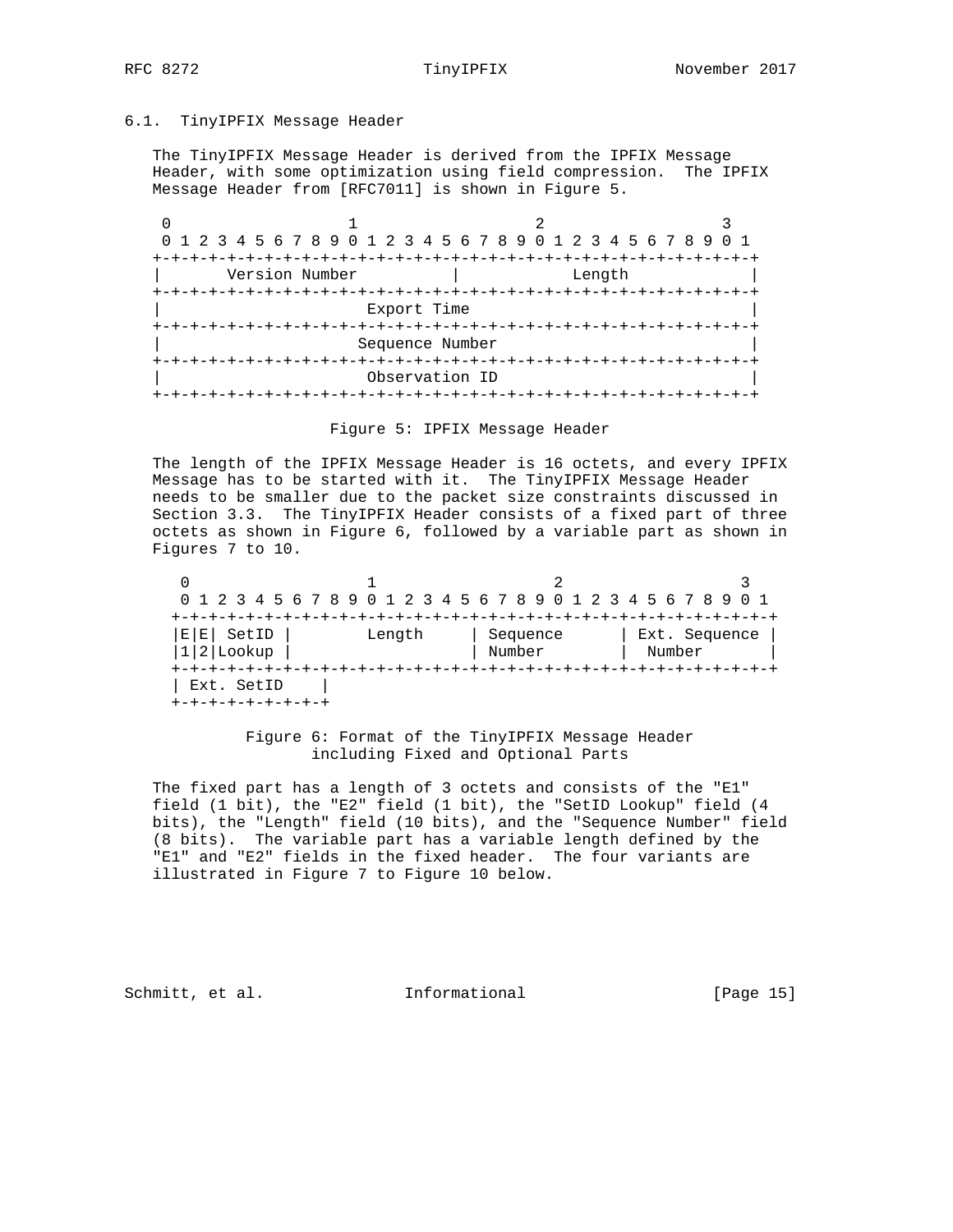## 6.1. TinyIPFIX Message Header

 The TinyIPFIX Message Header is derived from the IPFIX Message Header, with some optimization using field compression. The IPFIX Message Header from [RFC7011] is shown in Figure 5.

| 0 1 2 3 4 5 6 7 8 9 0 1 2 3 4 5 6 7 8 9 0 1 2 3 4 5 6 7 8 9 0 1 |                 |        |  |
|-----------------------------------------------------------------|-----------------|--------|--|
|                                                                 |                 |        |  |
| Version Number                                                  |                 | Length |  |
|                                                                 |                 |        |  |
|                                                                 | Export Time     |        |  |
|                                                                 |                 |        |  |
|                                                                 | Sequence Number |        |  |
|                                                                 |                 |        |  |
|                                                                 | Observation ID  |        |  |
|                                                                 |                 |        |  |

Figure 5: IPFIX Message Header

 The length of the IPFIX Message Header is 16 octets, and every IPFIX Message has to be started with it. The TinyIPFIX Message Header needs to be smaller due to the packet size constraints discussed in Section 3.3. The TinyIPFIX Header consists of a fixed part of three octets as shown in Figure 6, followed by a variable part as shown in Figures 7 to 10.

|                               |        | 0 1 2 3 4 5 6 7 8 9 0 1 2 3 4 5 6 7 8 9 0 1 2 3 4 5 6 7 8 9 |                         |
|-------------------------------|--------|-------------------------------------------------------------|-------------------------|
|                               |        |                                                             |                         |
| SetID<br>E <br>ЕI<br>2 Lookup | Length | Sequence<br>Number                                          | Ext. Sequence<br>Number |
| Ext. SetID                    |        |                                                             |                         |

 Figure 6: Format of the TinyIPFIX Message Header including Fixed and Optional Parts

 The fixed part has a length of 3 octets and consists of the "E1" field (1 bit), the "E2" field (1 bit), the "SetID Lookup" field (4 bits), the "Length" field (10 bits), and the "Sequence Number" field (8 bits). The variable part has a variable length defined by the "E1" and "E2" fields in the fixed header. The four variants are illustrated in Figure 7 to Figure 10 below.

Schmitt, et al. [Page 15]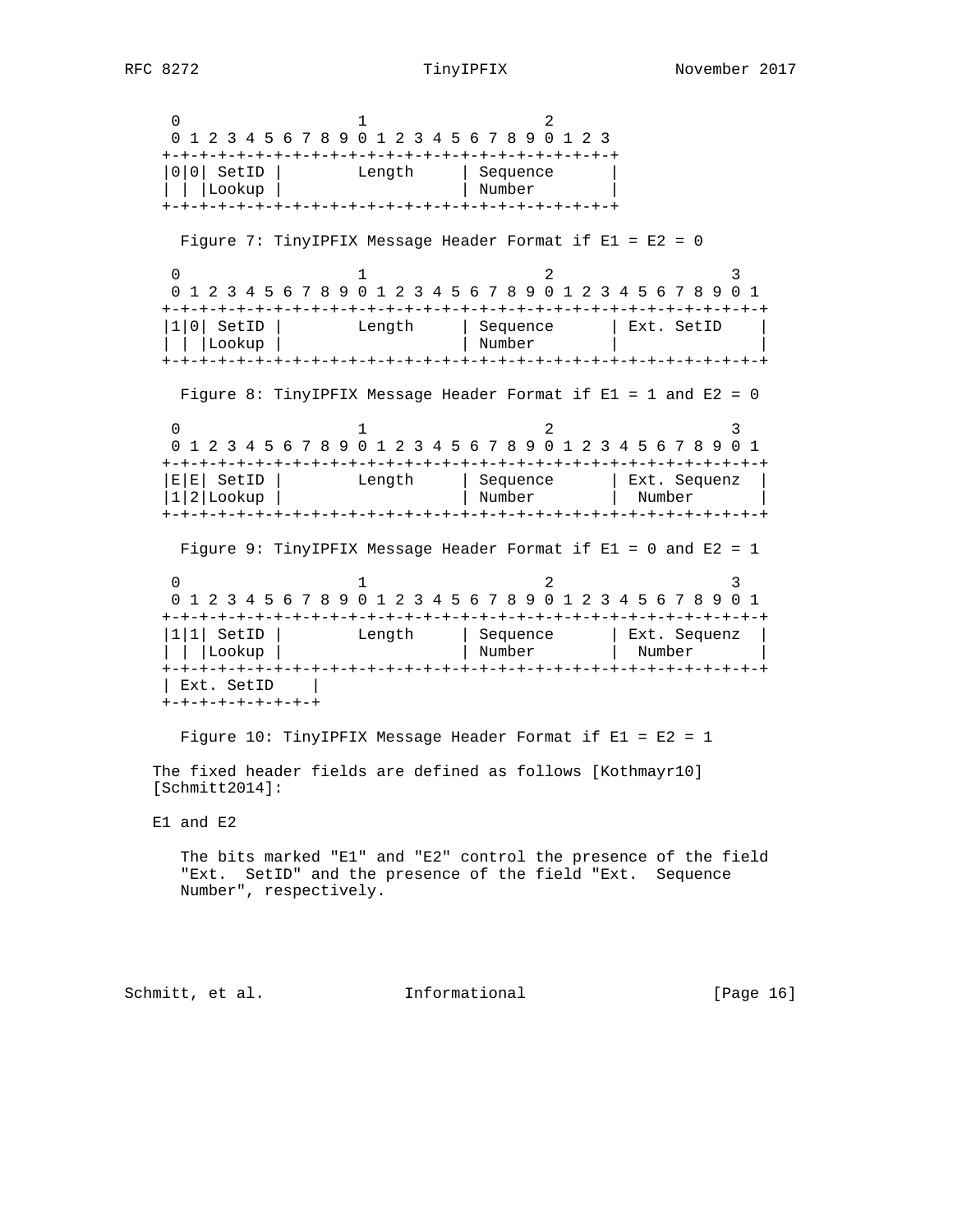$0$  1 2 0 1 2 3 4 5 6 7 8 9 0 1 2 3 4 5 6 7 8 9 0 1 2 3 +-+-+-+-+-+-+-+-+-+-+-+-+-+-+-+-+-+-+-+-+-+-+-+-+ |0|0| SetID | Length | Sequence | | | |Lookup | | Number | +-+-+-+-+-+-+-+-+-+-+-+-+-+-+-+-+-+-+-+-+-+-+-+-+ Figure 7: TinyIPFIX Message Header Format if E1 = E2 = 0  $0$  1 2 3 0 1 2 3 4 5 6 7 8 9 0 1 2 3 4 5 6 7 8 9 0 1 2 3 4 5 6 7 8 9 0 1 +-+-+-+-+-+-+-+-+-+-+-+-+-+-+-+-+-+-+-+-+-+-+-+-+-+-+-+-+-+-+-+-+ |1|0| SetID | Length | Sequence | Ext. SetID | | | |Lookup | | Number | | +-+-+-+-+-+-+-+-+-+-+-+-+-+-+-+-+-+-+-+-+-+-+-+-+-+-+-+-+-+-+-+-+ Figure 8: TinyIPFIX Message Header Format if E1 = 1 and E2 = 0  $0$  1 2 3 0 1 2 3 4 5 6 7 8 9 0 1 2 3 4 5 6 7 8 9 0 1 2 3 4 5 6 7 8 9 0 1 +-+-+-+-+-+-+-+-+-+-+-+-+-+-+-+-+-+-+-+-+-+-+-+-+-+-+-+-+-+-+-+-+ |E|E| SetID | Length | Sequence | Ext. Sequenz | |1|2|Lookup | | Number | Number | +-+-+-+-+-+-+-+-+-+-+-+-+-+-+-+-+-+-+-+-+-+-+-+-+-+-+-+-+-+-+-+-+ Figure 9: TinyIPFIX Message Header Format if E1 = 0 and E2 = 1  $0$  1 2 3 0 1 2 3 4 5 6 7 8 9 0 1 2 3 4 5 6 7 8 9 0 1 2 3 4 5 6 7 8 9 0 1 +-+-+-+-+-+-+-+-+-+-+-+-+-+-+-+-+-+-+-+-+-+-+-+-+-+-+-+-+-+-+-+-+ |1|1| SetID | Length | Sequence | Ext. Sequenz | | | |Lookup | | Number | Number | +-+-+-+-+-+-+-+-+-+-+-+-+-+-+-+-+-+-+-+-+-+-+-+-+-+-+-+-+-+-+-+-+ | Ext. SetID | +-+-+-+-+-+-+-+-+

 Figure 10: TinyIPFIX Message Header Format if E1 = E2 = 1 The fixed header fields are defined as follows [Kothmayr10] [Schmitt2014]:

E1 and E2

 The bits marked "E1" and "E2" control the presence of the field "Ext. SetID" and the presence of the field "Ext. Sequence Number", respectively.

Schmitt, et al. **Informational** [Page 16]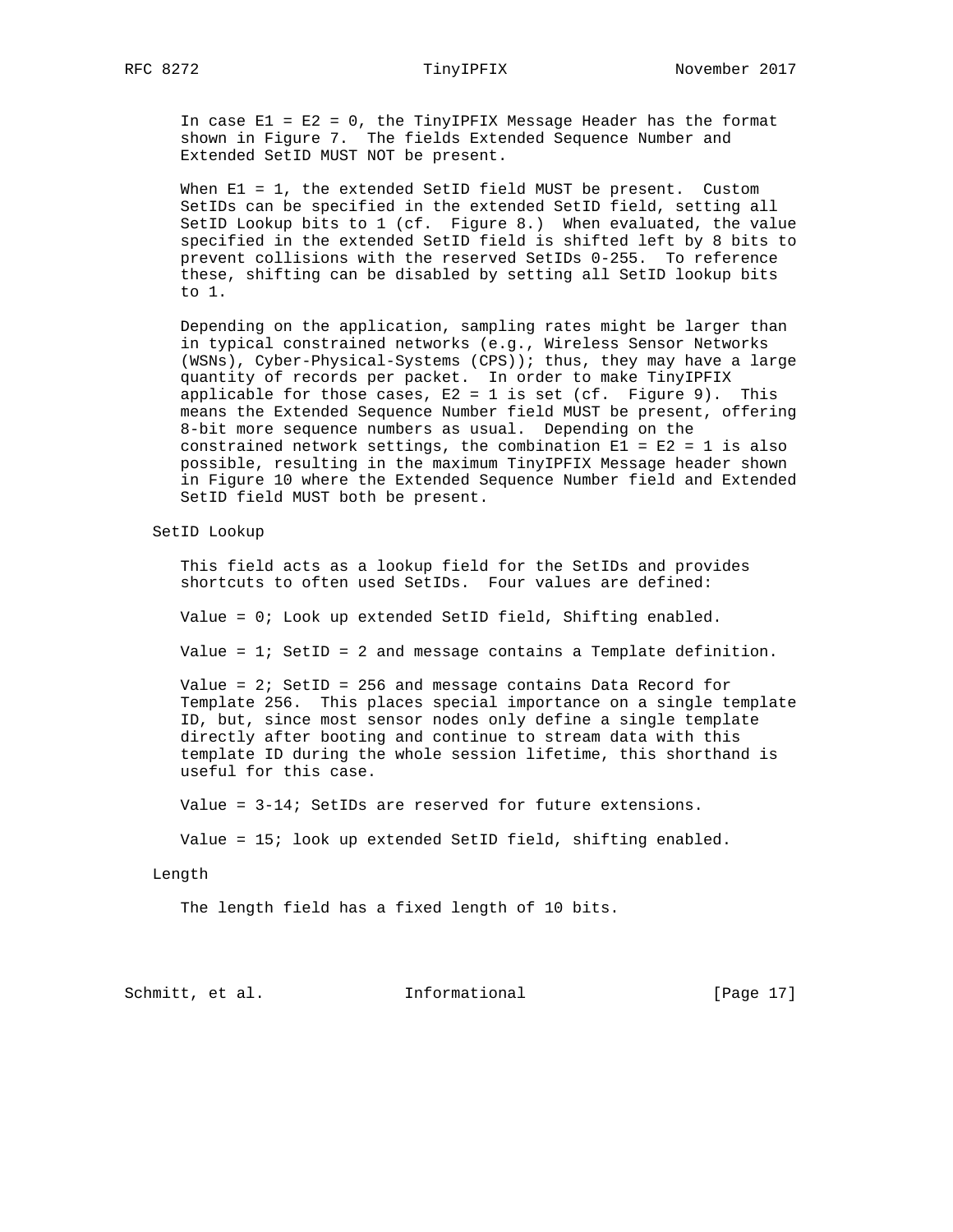## RFC 8272 TinyIPFIX November 2017

 In case E1 = E2 = 0, the TinyIPFIX Message Header has the format shown in Figure 7. The fields Extended Sequence Number and Extended SetID MUST NOT be present.

When E1 = 1, the extended SetID field MUST be present. Custom SetIDs can be specified in the extended SetID field, setting all SetID Lookup bits to 1 (cf. Figure 8.) When evaluated, the value specified in the extended SetID field is shifted left by 8 bits to prevent collisions with the reserved SetIDs 0-255. To reference these, shifting can be disabled by setting all SetID lookup bits to 1.

 Depending on the application, sampling rates might be larger than in typical constrained networks (e.g., Wireless Sensor Networks (WSNs), Cyber-Physical-Systems (CPS)); thus, they may have a large quantity of records per packet. In order to make TinyIPFIX applicable for those cases,  $E2 = 1$  is set (cf. Figure 9). This means the Extended Sequence Number field MUST be present, offering 8-bit more sequence numbers as usual. Depending on the constrained network settings, the combination  $E1 = E2 = 1$  is also possible, resulting in the maximum TinyIPFIX Message header shown in Figure 10 where the Extended Sequence Number field and Extended SetID field MUST both be present.

SetID Lookup

 This field acts as a lookup field for the SetIDs and provides shortcuts to often used SetIDs. Four values are defined:

Value = 0; Look up extended SetID field, Shifting enabled.

Value =  $1$ ; SetID = 2 and message contains a Template definition.

 Value = 2; SetID = 256 and message contains Data Record for Template 256. This places special importance on a single template ID, but, since most sensor nodes only define a single template directly after booting and continue to stream data with this template ID during the whole session lifetime, this shorthand is useful for this case.

Value = 3-14; SetIDs are reserved for future extensions.

Value = 15; look up extended SetID field, shifting enabled.

### Length

The length field has a fixed length of 10 bits.

Schmitt, et al. [Page 17]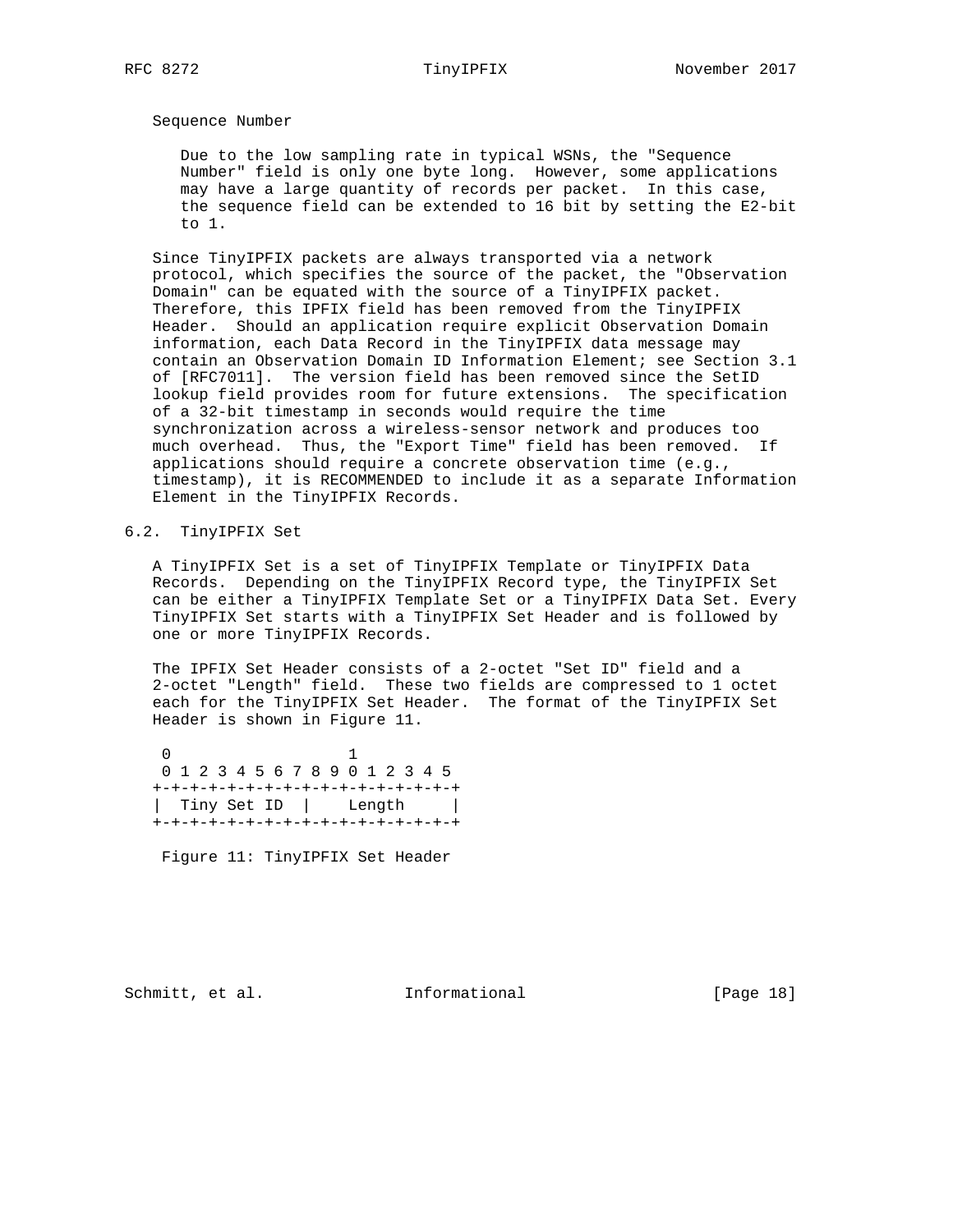## Sequence Number

 Due to the low sampling rate in typical WSNs, the "Sequence Number" field is only one byte long. However, some applications may have a large quantity of records per packet. In this case, the sequence field can be extended to 16 bit by setting the E2-bit to 1.

 Since TinyIPFIX packets are always transported via a network protocol, which specifies the source of the packet, the "Observation Domain" can be equated with the source of a TinyIPFIX packet. Therefore, this IPFIX field has been removed from the TinyIPFIX Header. Should an application require explicit Observation Domain information, each Data Record in the TinyIPFIX data message may contain an Observation Domain ID Information Element; see Section 3.1 of [RFC7011]. The version field has been removed since the SetID lookup field provides room for future extensions. The specification of a 32-bit timestamp in seconds would require the time synchronization across a wireless-sensor network and produces too much overhead. Thus, the "Export Time" field has been removed. If applications should require a concrete observation time (e.g., timestamp), it is RECOMMENDED to include it as a separate Information Element in the TinyIPFIX Records.

# 6.2. TinyIPFIX Set

 A TinyIPFIX Set is a set of TinyIPFIX Template or TinyIPFIX Data Records. Depending on the TinyIPFIX Record type, the TinyIPFIX Set can be either a TinyIPFIX Template Set or a TinyIPFIX Data Set. Every TinyIPFIX Set starts with a TinyIPFIX Set Header and is followed by one or more TinyIPFIX Records.

 The IPFIX Set Header consists of a 2-octet "Set ID" field and a 2-octet "Length" field. These two fields are compressed to 1 octet each for the TinyIPFIX Set Header. The format of the TinyIPFIX Set Header is shown in Figure 11.

 0 1 0 1 2 3 4 5 6 7 8 9 0 1 2 3 4 5 +-+-+-+-+-+-+-+-+-+-+-+-+-+-+-+-+ | Tiny Set ID | Length | +-+-+-+-+-+-+-+-+-+-+-+-+-+-+-+-+

Figure 11: TinyIPFIX Set Header

Schmitt, et al. [Page 18]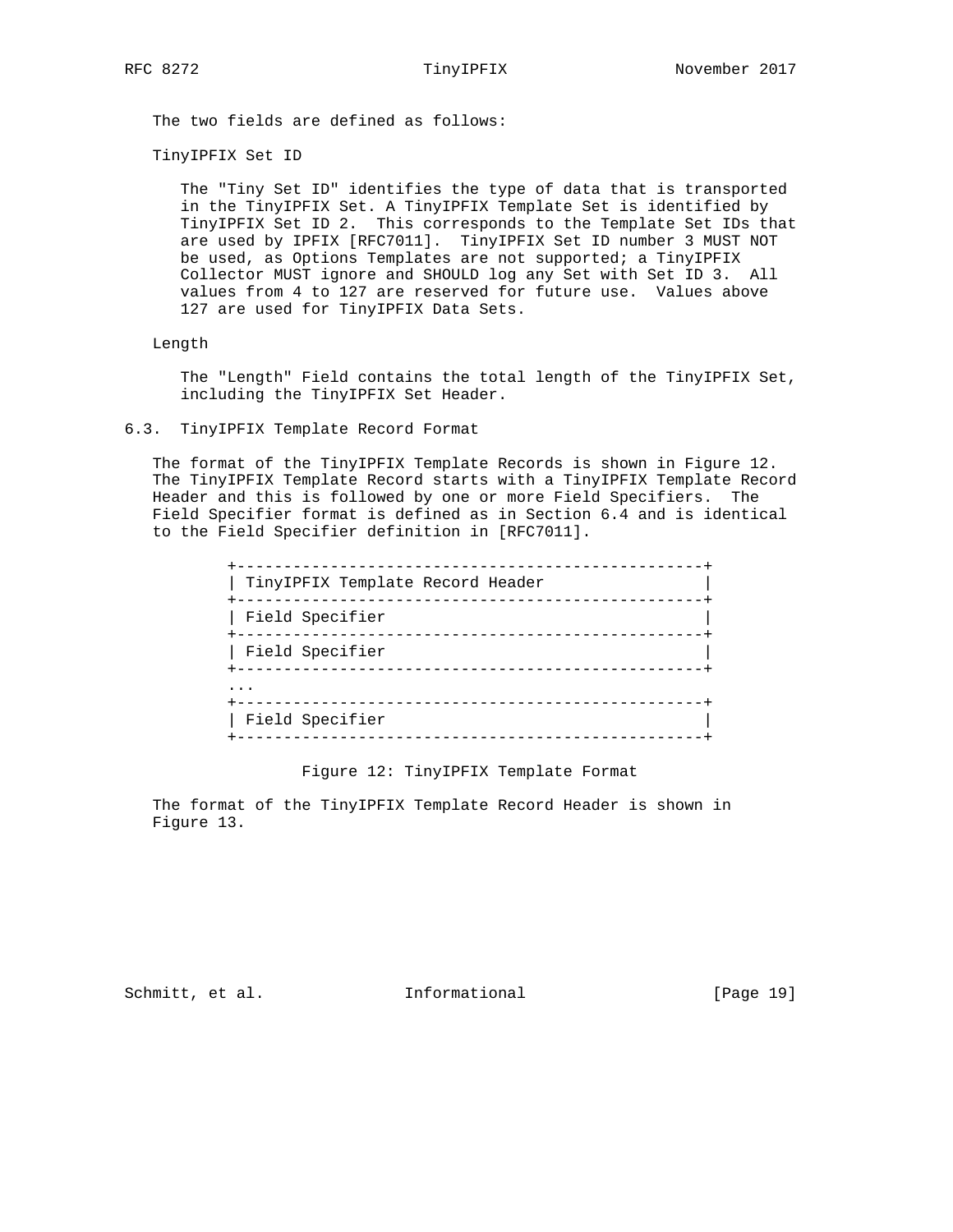The two fields are defined as follows:

TinyIPFIX Set ID

 The "Tiny Set ID" identifies the type of data that is transported in the TinyIPFIX Set. A TinyIPFIX Template Set is identified by TinyIPFIX Set ID 2. This corresponds to the Template Set IDs that are used by IPFIX [RFC7011]. TinyIPFIX Set ID number 3 MUST NOT be used, as Options Templates are not supported; a TinyIPFIX Collector MUST ignore and SHOULD log any Set with Set ID 3. All values from 4 to 127 are reserved for future use. Values above 127 are used for TinyIPFIX Data Sets.

Length

 The "Length" Field contains the total length of the TinyIPFIX Set, including the TinyIPFIX Set Header.

## 6.3. TinyIPFIX Template Record Format

 The format of the TinyIPFIX Template Records is shown in Figure 12. The TinyIPFIX Template Record starts with a TinyIPFIX Template Record Header and this is followed by one or more Field Specifiers. The Field Specifier format is defined as in Section 6.4 and is identical to the Field Specifier definition in [RFC7011].

| TinyIPFIX Template Record Header<br>----------- |
|-------------------------------------------------|
| Field Specifier                                 |
| Field Specifier                                 |
|                                                 |
| Field Specifier                                 |

Figure 12: TinyIPFIX Template Format

 The format of the TinyIPFIX Template Record Header is shown in Figure 13.

Schmitt, et al. [Page 19]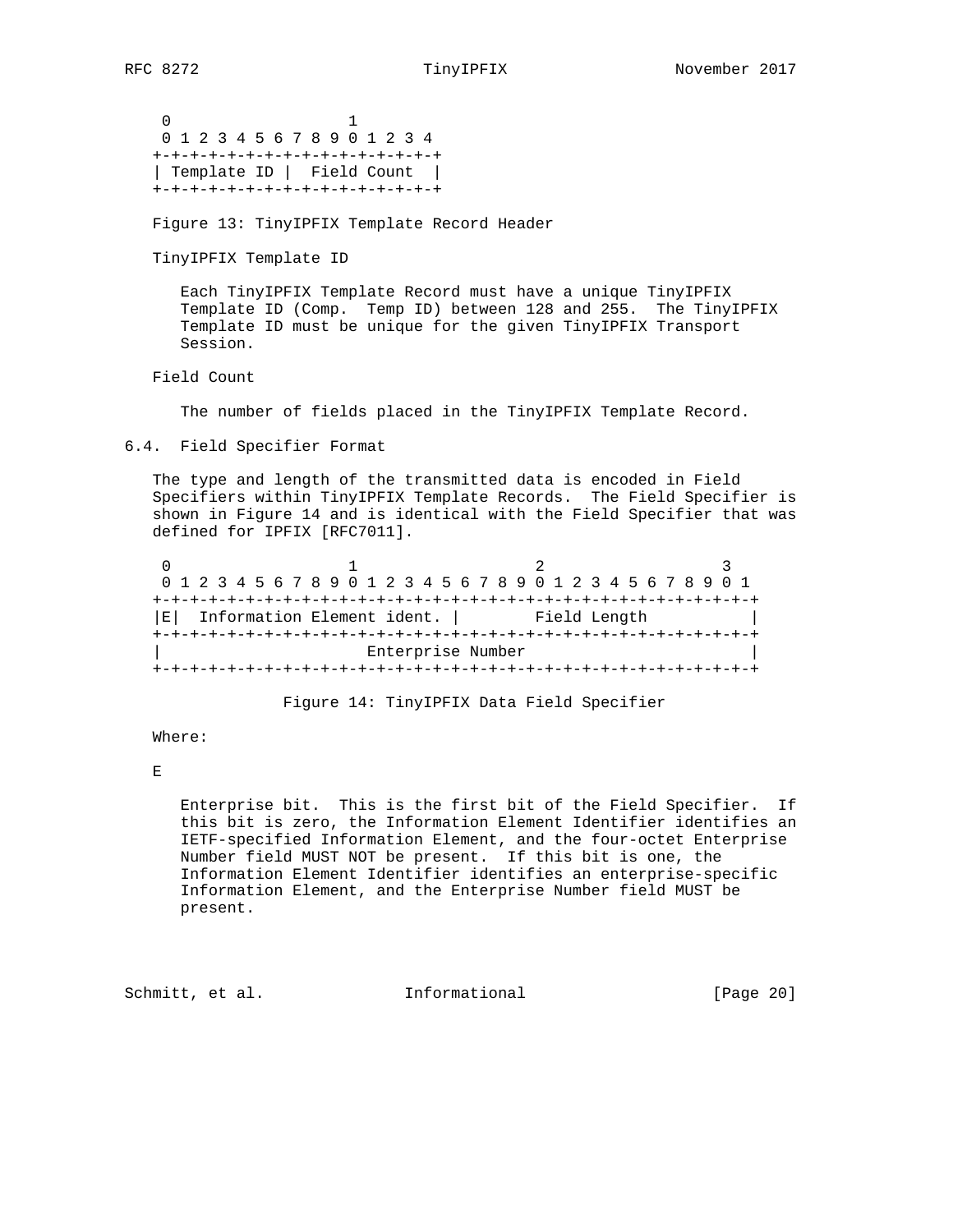0 1 0 1 2 3 4 5 6 7 8 9 0 1 2 3 4 +-+-+-+-+-+-+-+-+-+-+-+-+-+-+-+ | Template ID | Field Count | +-+-+-+-+-+-+-+-+-+-+-+-+-+-+-+

Figure 13: TinyIPFIX Template Record Header

TinyIPFIX Template ID

 Each TinyIPFIX Template Record must have a unique TinyIPFIX Template ID (Comp. Temp ID) between 128 and 255. The TinyIPFIX Template ID must be unique for the given TinyIPFIX Transport Session.

Field Count

The number of fields placed in the TinyIPFIX Template Record.

6.4. Field Specifier Format

 The type and length of the transmitted data is encoded in Field Specifiers within TinyIPFIX Template Records. The Field Specifier is shown in Figure 14 and is identical with the Field Specifier that was defined for IPFIX [RFC7011].

|  |                                      |  |  |  |  |  |  |                   |  |  |  |              |  | 0 1 2 3 4 5 6 7 8 9 0 1 2 3 4 5 6 7 8 9 0 1 2 3 4 5 6 7 8 9 0 1 |  |  |
|--|--------------------------------------|--|--|--|--|--|--|-------------------|--|--|--|--------------|--|-----------------------------------------------------------------|--|--|
|  |                                      |  |  |  |  |  |  |                   |  |  |  |              |  |                                                                 |  |  |
|  | $ E $ Information Element ident. $ $ |  |  |  |  |  |  |                   |  |  |  | Field Length |  |                                                                 |  |  |
|  |                                      |  |  |  |  |  |  |                   |  |  |  |              |  |                                                                 |  |  |
|  |                                      |  |  |  |  |  |  | Enterprise Number |  |  |  |              |  |                                                                 |  |  |
|  |                                      |  |  |  |  |  |  |                   |  |  |  |              |  |                                                                 |  |  |

Figure 14: TinyIPFIX Data Field Specifier

Where:

 $\mathbf{E}$ 

 Enterprise bit. This is the first bit of the Field Specifier. If this bit is zero, the Information Element Identifier identifies an IETF-specified Information Element, and the four-octet Enterprise Number field MUST NOT be present. If this bit is one, the Information Element Identifier identifies an enterprise-specific Information Element, and the Enterprise Number field MUST be present.

Schmitt, et al. **Informational** [Page 20]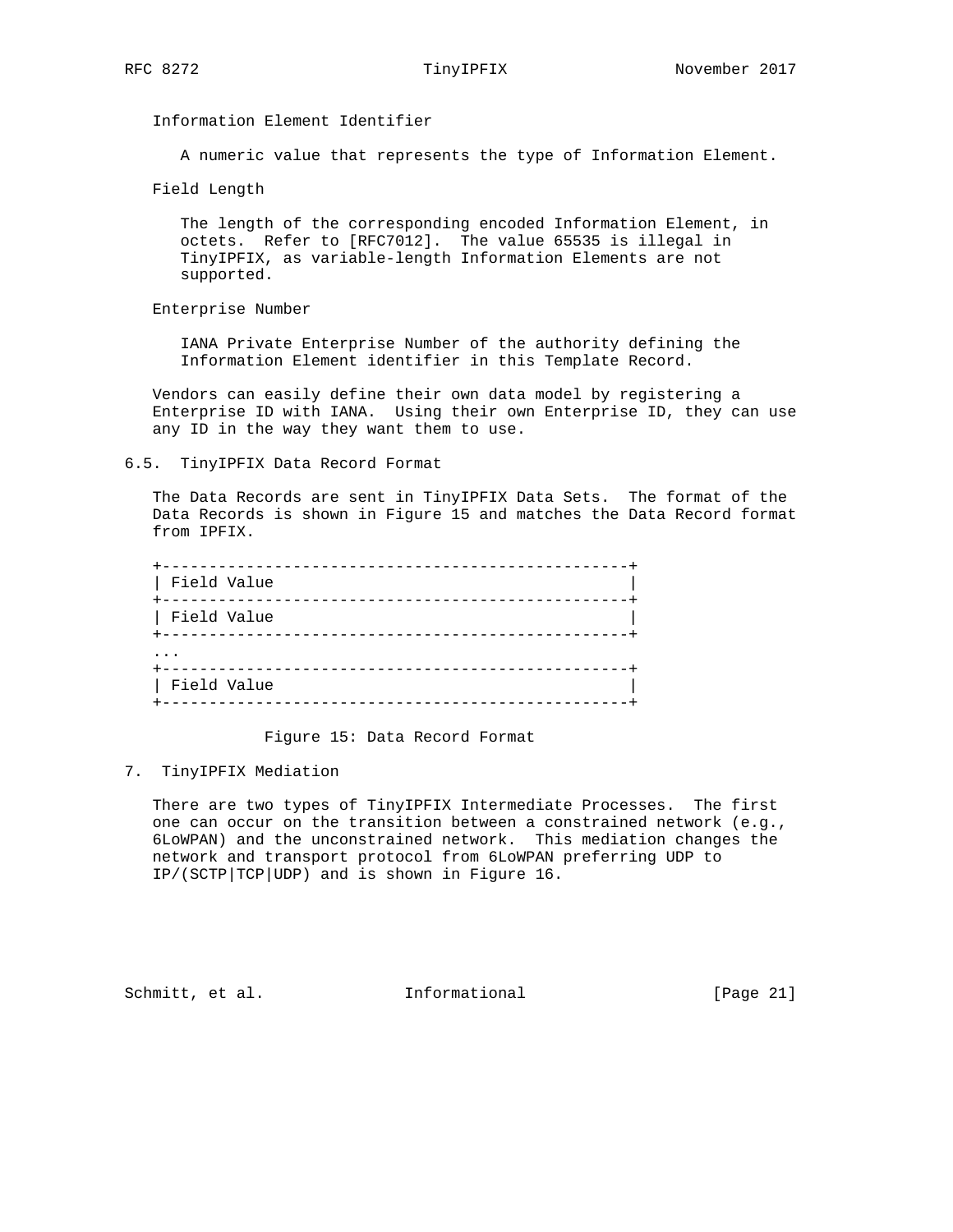Information Element Identifier

A numeric value that represents the type of Information Element.

Field Length

 The length of the corresponding encoded Information Element, in octets. Refer to [RFC7012]. The value 65535 is illegal in TinyIPFIX, as variable-length Information Elements are not supported.

Enterprise Number

 IANA Private Enterprise Number of the authority defining the Information Element identifier in this Template Record.

 Vendors can easily define their own data model by registering a Enterprise ID with IANA. Using their own Enterprise ID, they can use any ID in the way they want them to use.

6.5. TinyIPFIX Data Record Format

 The Data Records are sent in TinyIPFIX Data Sets. The format of the Data Records is shown in Figure 15 and matches the Data Record format from IPFIX.

| Field Value | ------------- |
|-------------|---------------|
| Field Value | --------      |
|             |               |
| Field Value |               |

Figure 15: Data Record Format

7. TinyIPFIX Mediation

 There are two types of TinyIPFIX Intermediate Processes. The first one can occur on the transition between a constrained network (e.g., 6LoWPAN) and the unconstrained network. This mediation changes the network and transport protocol from 6LoWPAN preferring UDP to IP/(SCTP|TCP|UDP) and is shown in Figure 16.

Schmitt, et al. [Page 21]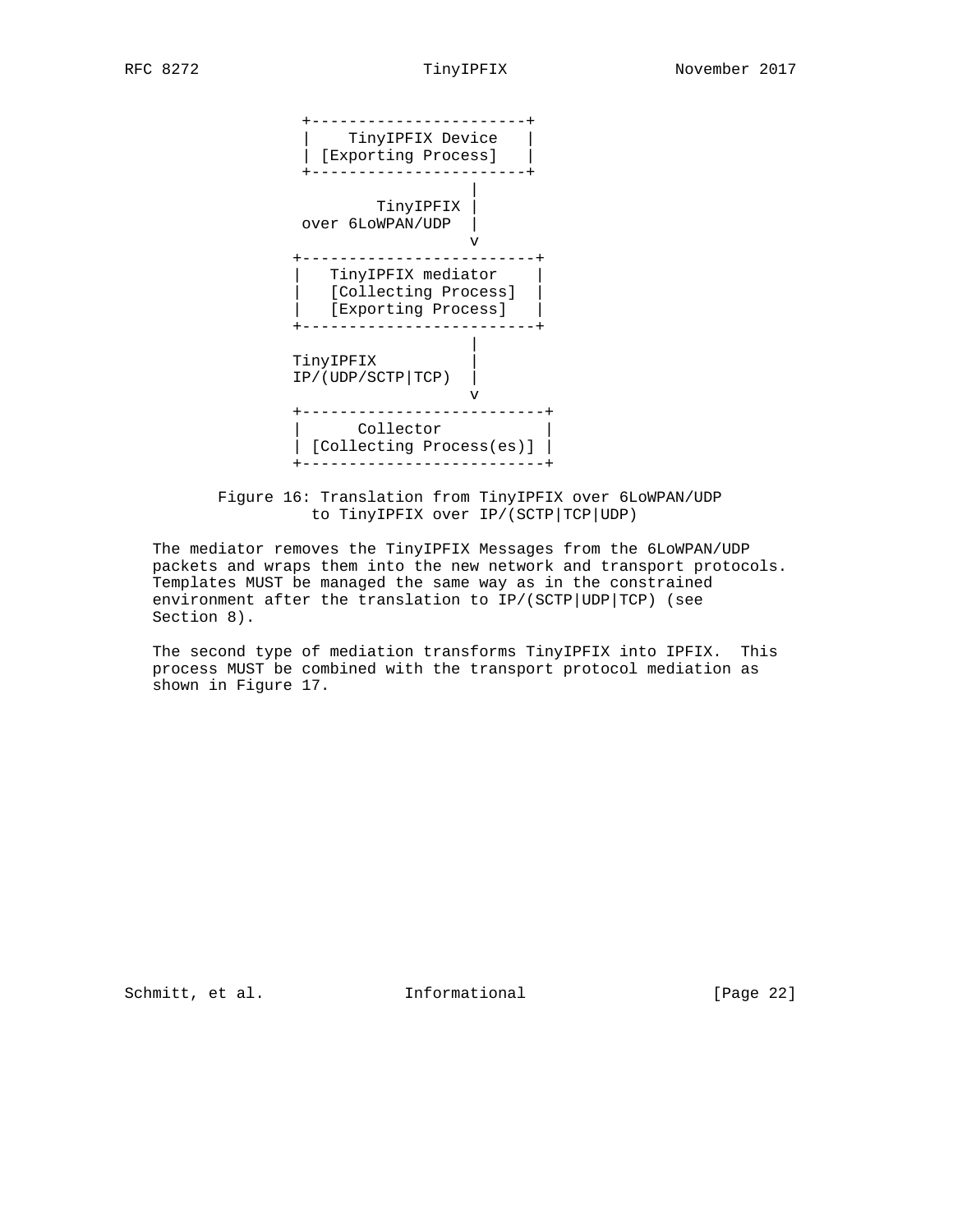

 Figure 16: Translation from TinyIPFIX over 6LoWPAN/UDP to TinyIPFIX over IP/(SCTP|TCP|UDP)

 The mediator removes the TinyIPFIX Messages from the 6LoWPAN/UDP packets and wraps them into the new network and transport protocols. Templates MUST be managed the same way as in the constrained environment after the translation to IP/(SCTP|UDP|TCP) (see Section 8).

 The second type of mediation transforms TinyIPFIX into IPFIX. This process MUST be combined with the transport protocol mediation as shown in Figure 17.

Schmitt, et al. **Informational** [Page 22]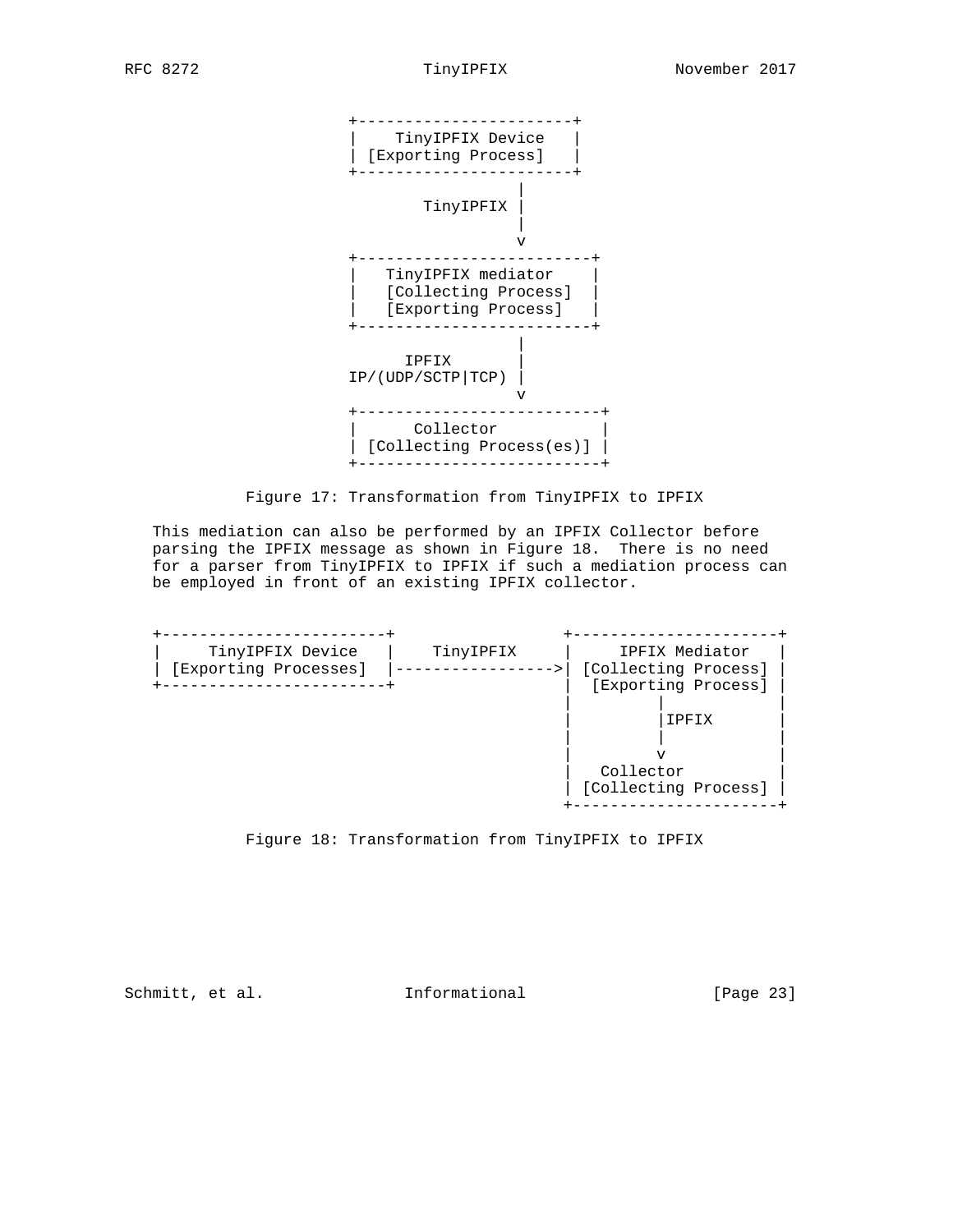

Figure 17: Transformation from TinyIPFIX to IPFIX

 This mediation can also be performed by an IPFIX Collector before parsing the IPFIX message as shown in Figure 18. There is no need for a parser from TinyIPFIX to IPFIX if such a mediation process can be employed in front of an existing IPFIX collector.





Schmitt, et al. **Informational** [Page 23]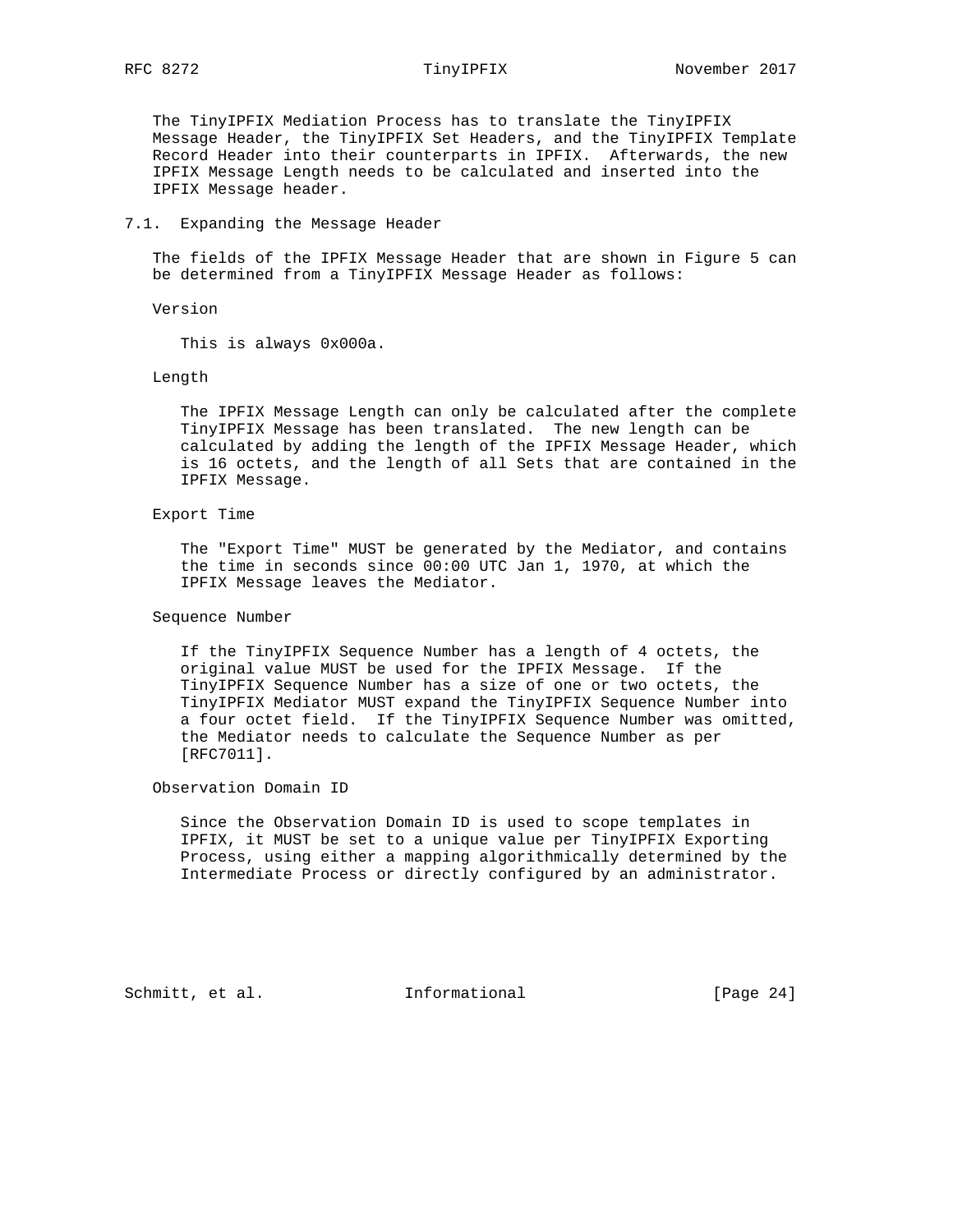The TinyIPFIX Mediation Process has to translate the TinyIPFIX Message Header, the TinyIPFIX Set Headers, and the TinyIPFIX Template Record Header into their counterparts in IPFIX. Afterwards, the new IPFIX Message Length needs to be calculated and inserted into the IPFIX Message header.

## 7.1. Expanding the Message Header

 The fields of the IPFIX Message Header that are shown in Figure 5 can be determined from a TinyIPFIX Message Header as follows:

Version

This is always 0x000a.

### Length

 The IPFIX Message Length can only be calculated after the complete TinyIPFIX Message has been translated. The new length can be calculated by adding the length of the IPFIX Message Header, which is 16 octets, and the length of all Sets that are contained in the IPFIX Message.

### Export Time

 The "Export Time" MUST be generated by the Mediator, and contains the time in seconds since 00:00 UTC Jan 1, 1970, at which the IPFIX Message leaves the Mediator.

### Sequence Number

 If the TinyIPFIX Sequence Number has a length of 4 octets, the original value MUST be used for the IPFIX Message. If the TinyIPFIX Sequence Number has a size of one or two octets, the TinyIPFIX Mediator MUST expand the TinyIPFIX Sequence Number into a four octet field. If the TinyIPFIX Sequence Number was omitted, the Mediator needs to calculate the Sequence Number as per [RFC7011].

## Observation Domain ID

 Since the Observation Domain ID is used to scope templates in IPFIX, it MUST be set to a unique value per TinyIPFIX Exporting Process, using either a mapping algorithmically determined by the Intermediate Process or directly configured by an administrator.

Schmitt, et al. **Informational** [Page 24]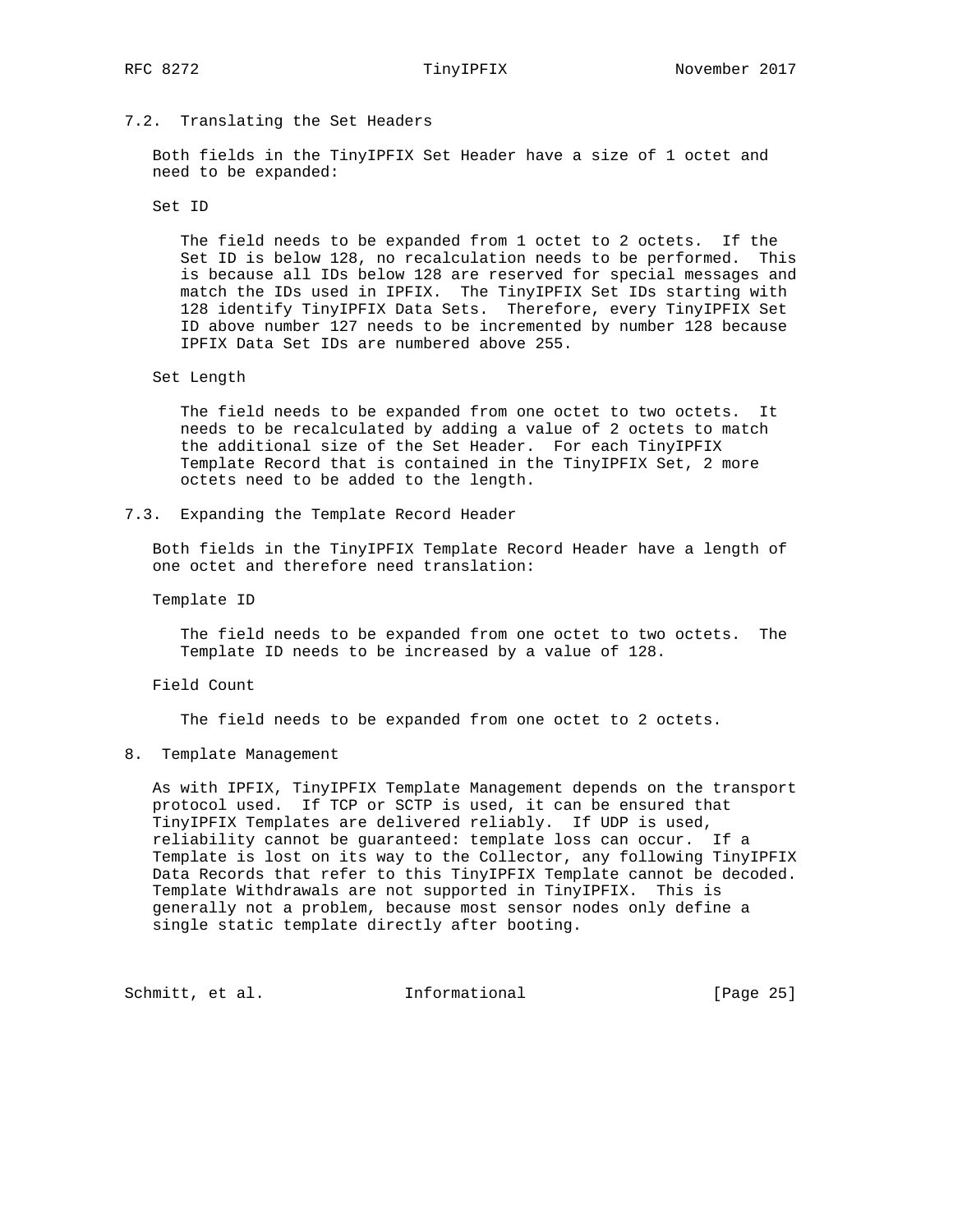## 7.2. Translating the Set Headers

 Both fields in the TinyIPFIX Set Header have a size of 1 octet and need to be expanded:

Set ID

 The field needs to be expanded from 1 octet to 2 octets. If the Set ID is below 128, no recalculation needs to be performed. This is because all IDs below 128 are reserved for special messages and match the IDs used in IPFIX. The TinyIPFIX Set IDs starting with 128 identify TinyIPFIX Data Sets. Therefore, every TinyIPFIX Set ID above number 127 needs to be incremented by number 128 because IPFIX Data Set IDs are numbered above 255.

Set Length

 The field needs to be expanded from one octet to two octets. It needs to be recalculated by adding a value of 2 octets to match the additional size of the Set Header. For each TinyIPFIX Template Record that is contained in the TinyIPFIX Set, 2 more octets need to be added to the length.

7.3. Expanding the Template Record Header

 Both fields in the TinyIPFIX Template Record Header have a length of one octet and therefore need translation:

Template ID

 The field needs to be expanded from one octet to two octets. The Template ID needs to be increased by a value of 128.

Field Count

The field needs to be expanded from one octet to 2 octets.

8. Template Management

 As with IPFIX, TinyIPFIX Template Management depends on the transport protocol used. If TCP or SCTP is used, it can be ensured that TinyIPFIX Templates are delivered reliably. If UDP is used, reliability cannot be guaranteed: template loss can occur. If a Template is lost on its way to the Collector, any following TinyIPFIX Data Records that refer to this TinyIPFIX Template cannot be decoded. Template Withdrawals are not supported in TinyIPFIX. This is generally not a problem, because most sensor nodes only define a single static template directly after booting.

Schmitt, et al. **Informational** [Page 25]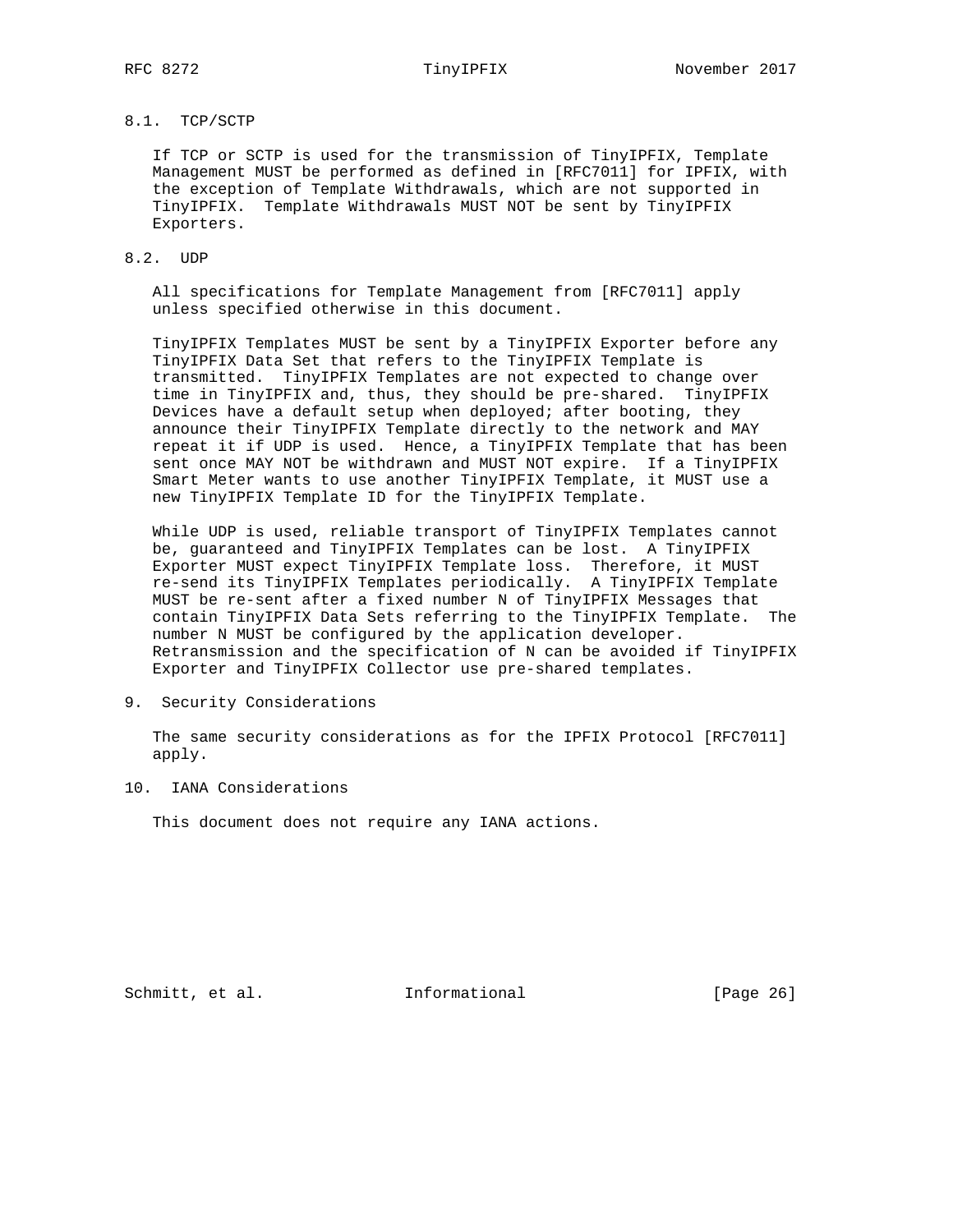# 8.1. TCP/SCTP

 If TCP or SCTP is used for the transmission of TinyIPFIX, Template Management MUST be performed as defined in [RFC7011] for IPFIX, with the exception of Template Withdrawals, which are not supported in TinyIPFIX. Template Withdrawals MUST NOT be sent by TinyIPFIX Exporters.

# 8.2. UDP

 All specifications for Template Management from [RFC7011] apply unless specified otherwise in this document.

 TinyIPFIX Templates MUST be sent by a TinyIPFIX Exporter before any TinyIPFIX Data Set that refers to the TinyIPFIX Template is transmitted. TinyIPFIX Templates are not expected to change over time in TinyIPFIX and, thus, they should be pre-shared. TinyIPFIX Devices have a default setup when deployed; after booting, they announce their TinyIPFIX Template directly to the network and MAY repeat it if UDP is used. Hence, a TinyIPFIX Template that has been sent once MAY NOT be withdrawn and MUST NOT expire. If a TinyIPFIX Smart Meter wants to use another TinyIPFIX Template, it MUST use a new TinyIPFIX Template ID for the TinyIPFIX Template.

 While UDP is used, reliable transport of TinyIPFIX Templates cannot be, guaranteed and TinyIPFIX Templates can be lost. A TinyIPFIX Exporter MUST expect TinyIPFIX Template loss. Therefore, it MUST re-send its TinyIPFIX Templates periodically. A TinyIPFIX Template MUST be re-sent after a fixed number N of TinyIPFIX Messages that contain TinyIPFIX Data Sets referring to the TinyIPFIX Template. The number N MUST be configured by the application developer. Retransmission and the specification of N can be avoided if TinyIPFIX Exporter and TinyIPFIX Collector use pre-shared templates.

9. Security Considerations

 The same security considerations as for the IPFIX Protocol [RFC7011] apply.

10. IANA Considerations

This document does not require any IANA actions.

Schmitt, et al. **Informational** [Page 26]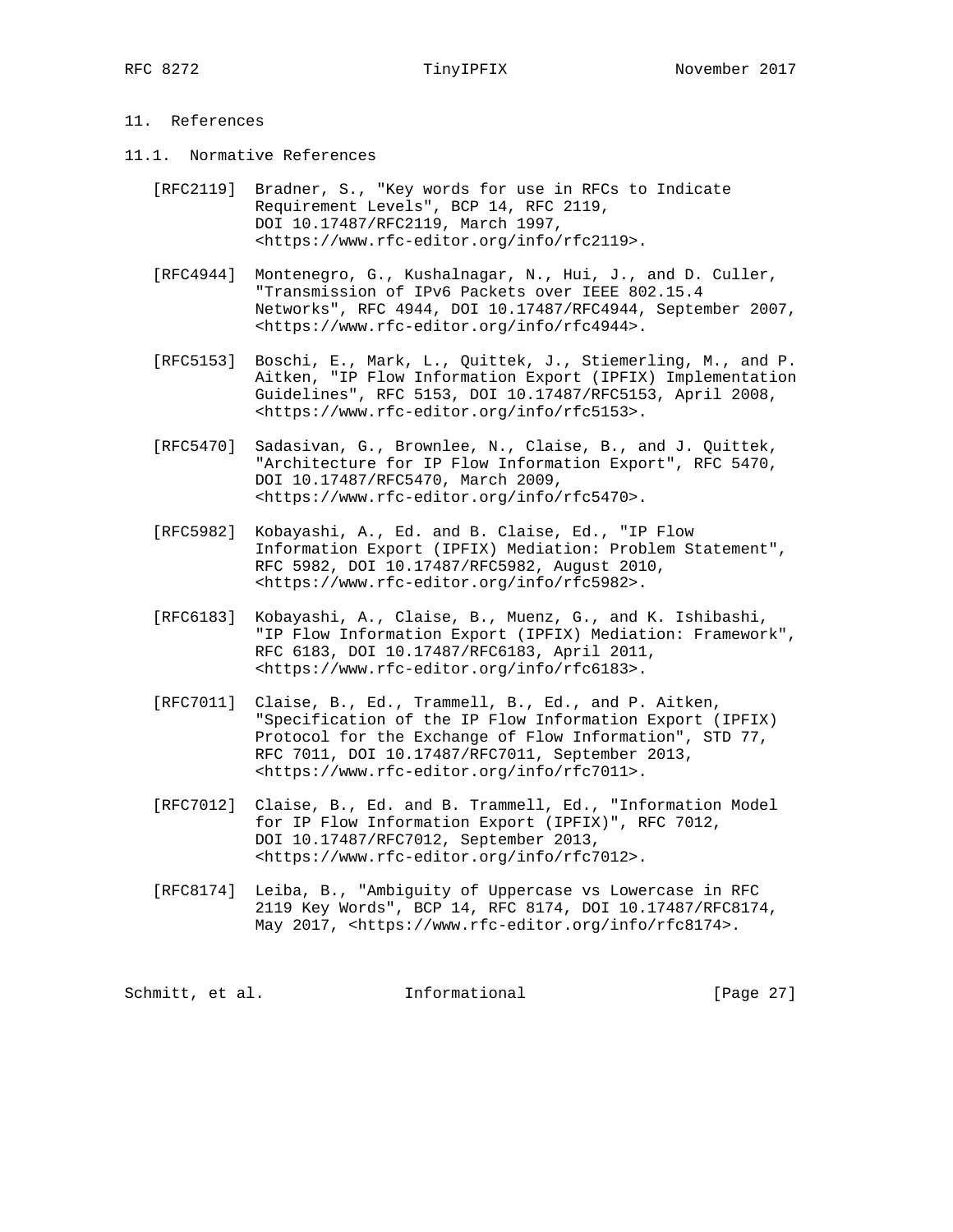# 11. References

- 11.1. Normative References
	- [RFC2119] Bradner, S., "Key words for use in RFCs to Indicate Requirement Levels", BCP 14, RFC 2119, DOI 10.17487/RFC2119, March 1997, <https://www.rfc-editor.org/info/rfc2119>.
	- [RFC4944] Montenegro, G., Kushalnagar, N., Hui, J., and D. Culler, "Transmission of IPv6 Packets over IEEE 802.15.4 Networks", RFC 4944, DOI 10.17487/RFC4944, September 2007, <https://www.rfc-editor.org/info/rfc4944>.
	- [RFC5153] Boschi, E., Mark, L., Quittek, J., Stiemerling, M., and P. Aitken, "IP Flow Information Export (IPFIX) Implementation Guidelines", RFC 5153, DOI 10.17487/RFC5153, April 2008, <https://www.rfc-editor.org/info/rfc5153>.
	- [RFC5470] Sadasivan, G., Brownlee, N., Claise, B., and J. Quittek, "Architecture for IP Flow Information Export", RFC 5470, DOI 10.17487/RFC5470, March 2009, <https://www.rfc-editor.org/info/rfc5470>.
	- [RFC5982] Kobayashi, A., Ed. and B. Claise, Ed., "IP Flow Information Export (IPFIX) Mediation: Problem Statement", RFC 5982, DOI 10.17487/RFC5982, August 2010, <https://www.rfc-editor.org/info/rfc5982>.
	- [RFC6183] Kobayashi, A., Claise, B., Muenz, G., and K. Ishibashi, "IP Flow Information Export (IPFIX) Mediation: Framework", RFC 6183, DOI 10.17487/RFC6183, April 2011, <https://www.rfc-editor.org/info/rfc6183>.
	- [RFC7011] Claise, B., Ed., Trammell, B., Ed., and P. Aitken, "Specification of the IP Flow Information Export (IPFIX) Protocol for the Exchange of Flow Information", STD 77, RFC 7011, DOI 10.17487/RFC7011, September 2013, <https://www.rfc-editor.org/info/rfc7011>.
	- [RFC7012] Claise, B., Ed. and B. Trammell, Ed., "Information Model for IP Flow Information Export (IPFIX)", RFC 7012, DOI 10.17487/RFC7012, September 2013, <https://www.rfc-editor.org/info/rfc7012>.
	- [RFC8174] Leiba, B., "Ambiguity of Uppercase vs Lowercase in RFC 2119 Key Words", BCP 14, RFC 8174, DOI 10.17487/RFC8174, May 2017, <https://www.rfc-editor.org/info/rfc8174>.

| [Page 27]<br>Schmitt, et al.<br>Informational |  |  |  |  |  |  |  |  |
|-----------------------------------------------|--|--|--|--|--|--|--|--|
|-----------------------------------------------|--|--|--|--|--|--|--|--|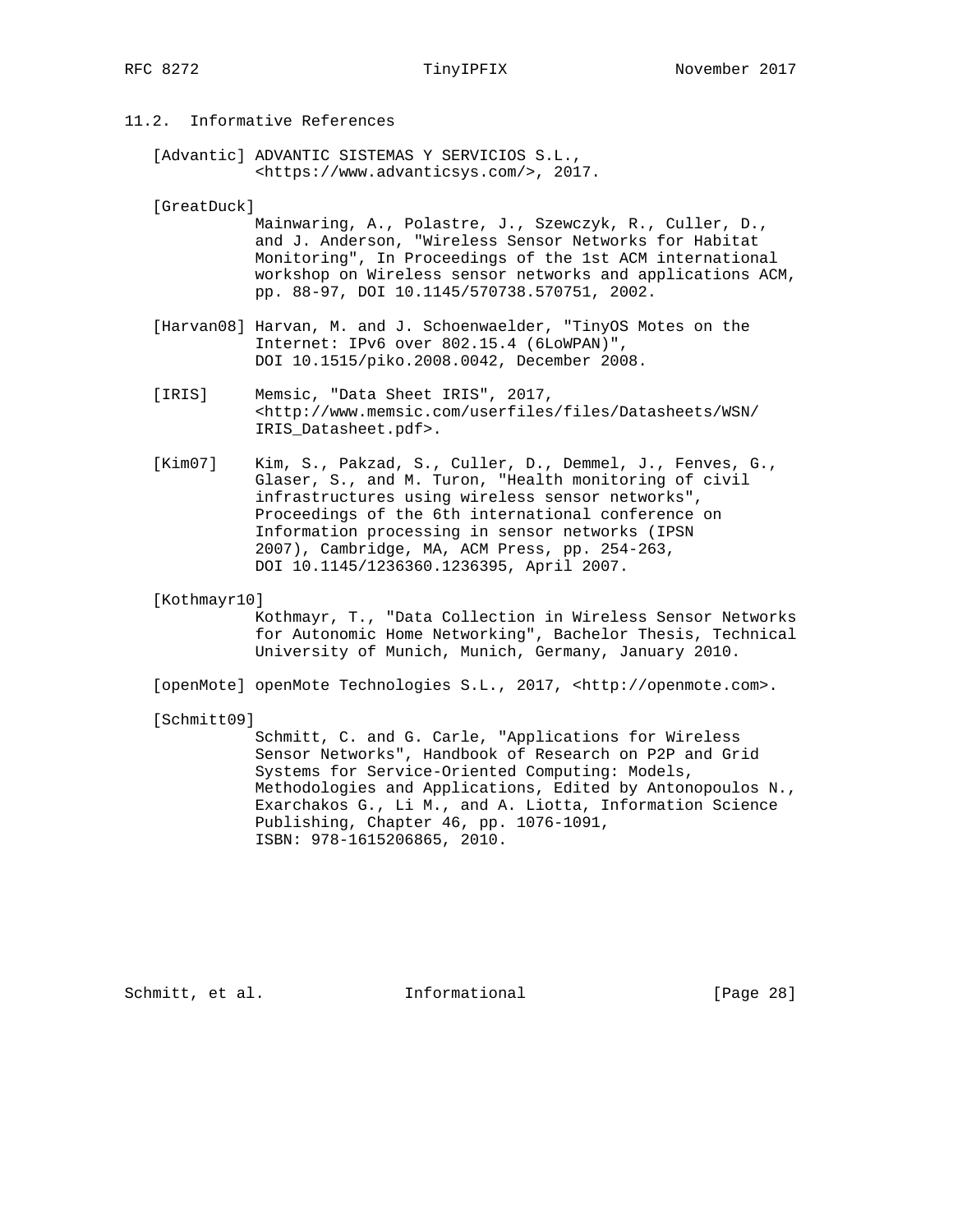# 11.2. Informative References

 [Advantic] ADVANTIC SISTEMAS Y SERVICIOS S.L., <https://www.advanticsys.com/>, 2017.

[GreatDuck]

 Mainwaring, A., Polastre, J., Szewczyk, R., Culler, D., and J. Anderson, "Wireless Sensor Networks for Habitat Monitoring", In Proceedings of the 1st ACM international workshop on Wireless sensor networks and applications ACM, pp. 88-97, DOI 10.1145/570738.570751, 2002.

- [Harvan08] Harvan, M. and J. Schoenwaelder, "TinyOS Motes on the Internet: IPv6 over 802.15.4 (6LoWPAN)", DOI 10.1515/piko.2008.0042, December 2008.
- [IRIS] Memsic, "Data Sheet IRIS", 2017, <http://www.memsic.com/userfiles/files/Datasheets/WSN/ IRIS\_Datasheet.pdf>.
- [Kim07] Kim, S., Pakzad, S., Culler, D., Demmel, J., Fenves, G., Glaser, S., and M. Turon, "Health monitoring of civil infrastructures using wireless sensor networks", Proceedings of the 6th international conference on Information processing in sensor networks (IPSN 2007), Cambridge, MA, ACM Press, pp. 254-263, DOI 10.1145/1236360.1236395, April 2007.

[Kothmayr10]

 Kothmayr, T., "Data Collection in Wireless Sensor Networks for Autonomic Home Networking", Bachelor Thesis, Technical University of Munich, Munich, Germany, January 2010.

[openMote] openMote Technologies S.L., 2017, <http://openmote.com>.

[Schmitt09]

 Schmitt, C. and G. Carle, "Applications for Wireless Sensor Networks", Handbook of Research on P2P and Grid Systems for Service-Oriented Computing: Models, Methodologies and Applications, Edited by Antonopoulos N., Exarchakos G., Li M., and A. Liotta, Information Science Publishing, Chapter 46, pp. 1076-1091, ISBN: 978-1615206865, 2010.

Schmitt, et al. **Informational** [Page 28]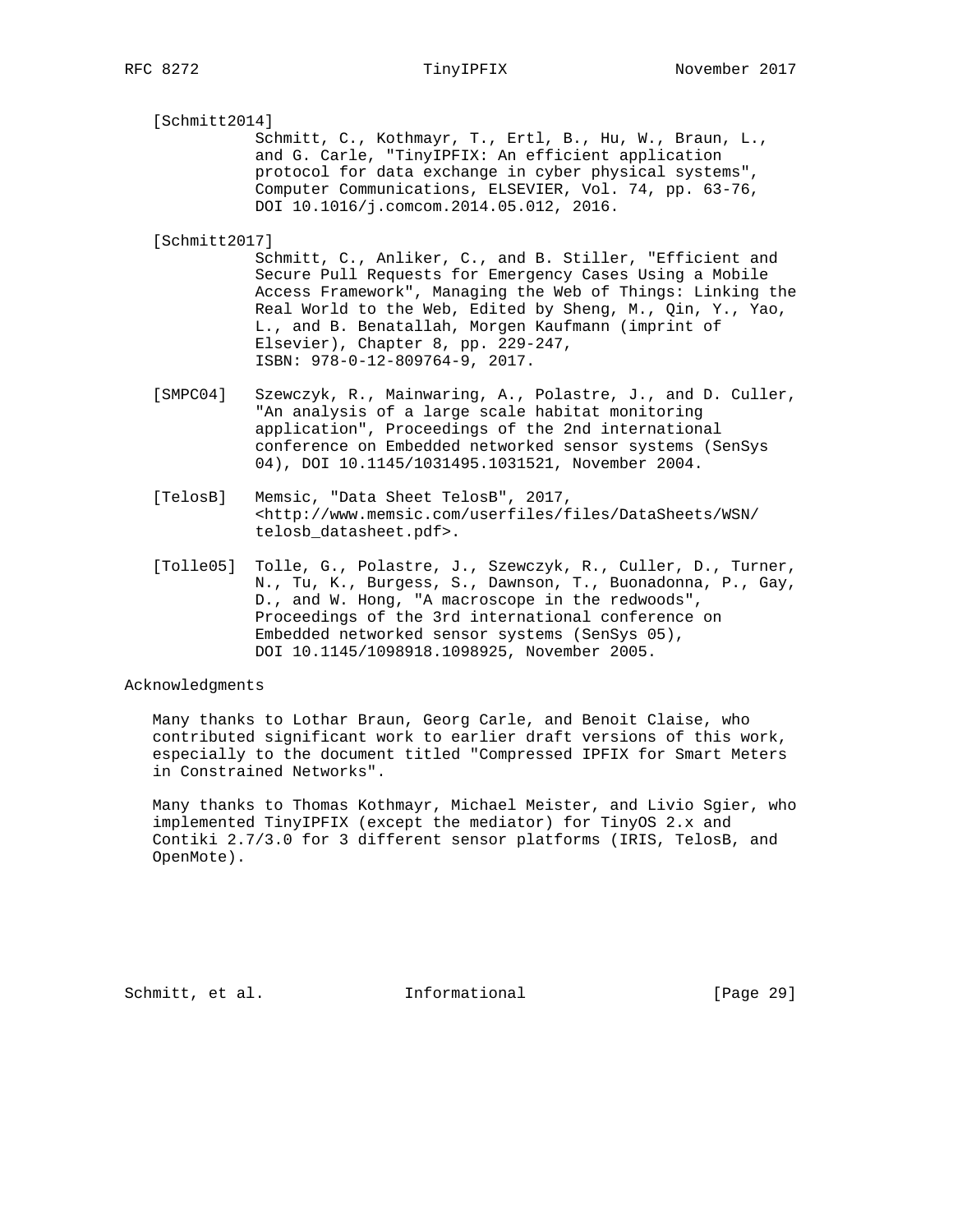[Schmitt2014]

 Schmitt, C., Kothmayr, T., Ertl, B., Hu, W., Braun, L., and G. Carle, "TinyIPFIX: An efficient application protocol for data exchange in cyber physical systems", Computer Communications, ELSEVIER, Vol. 74, pp. 63-76, DOI 10.1016/j.comcom.2014.05.012, 2016.

[Schmitt2017]

 Schmitt, C., Anliker, C., and B. Stiller, "Efficient and Secure Pull Requests for Emergency Cases Using a Mobile Access Framework", Managing the Web of Things: Linking the Real World to the Web, Edited by Sheng, M., Qin, Y., Yao, L., and B. Benatallah, Morgen Kaufmann (imprint of Elsevier), Chapter 8, pp. 229-247, ISBN: 978-0-12-809764-9, 2017.

- [SMPC04] Szewczyk, R., Mainwaring, A., Polastre, J., and D. Culler, "An analysis of a large scale habitat monitoring application", Proceedings of the 2nd international conference on Embedded networked sensor systems (SenSys 04), DOI 10.1145/1031495.1031521, November 2004.
- [TelosB] Memsic, "Data Sheet TelosB", 2017, <http://www.memsic.com/userfiles/files/DataSheets/WSN/ telosb\_datasheet.pdf>.
- [Tolle05] Tolle, G., Polastre, J., Szewczyk, R., Culler, D., Turner, N., Tu, K., Burgess, S., Dawnson, T., Buonadonna, P., Gay, D., and W. Hong, "A macroscope in the redwoods", Proceedings of the 3rd international conference on Embedded networked sensor systems (SenSys 05), DOI 10.1145/1098918.1098925, November 2005.

### Acknowledgments

 Many thanks to Lothar Braun, Georg Carle, and Benoit Claise, who contributed significant work to earlier draft versions of this work, especially to the document titled "Compressed IPFIX for Smart Meters in Constrained Networks".

 Many thanks to Thomas Kothmayr, Michael Meister, and Livio Sgier, who implemented TinyIPFIX (except the mediator) for TinyOS 2.x and Contiki 2.7/3.0 for 3 different sensor platforms (IRIS, TelosB, and OpenMote).

Schmitt, et al. 1nformational [Page 29]